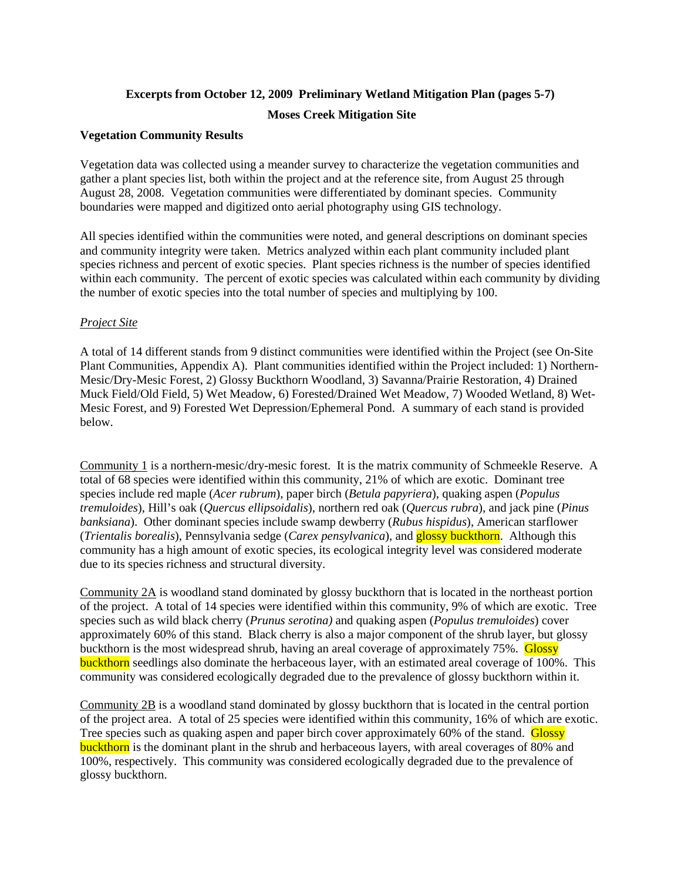### **Excerpts from October 12, 2009 Preliminary Wetland Mitigation Plan (pages 5-7) Moses Creek Mitigation Site**

#### **Vegetation Community Results**

Vegetation data was collected using a meander survey to characterize the vegetation communities and gather a plant species list, both within the project and at the reference site, from August 25 through August 28, 2008. Vegetation communities were differentiated by dominant species. Community boundaries were mapped and digitized onto aerial photography using GIS technology.

All species identified within the communities were noted, and general descriptions on dominant species and community integrity were taken. Metrics analyzed within each plant community included plant species richness and percent of exotic species. Plant species richness is the number of species identified within each community. The percent of exotic species was calculated within each community by dividing the number of exotic species into the total number of species and multiplying by 100.

#### *Project Site*

A total of 14 different stands from 9 distinct communities were identified within the Project (see On-Site Plant Communities, Appendix A). Plant communities identified within the Project included: 1) Northern-Mesic/Dry-Mesic Forest, 2) Glossy Buckthorn Woodland, 3) Savanna/Prairie Restoration, 4) Drained Muck Field/Old Field, 5) Wet Meadow, 6) Forested/Drained Wet Meadow, 7) Wooded Wetland, 8) Wet-Mesic Forest, and 9) Forested Wet Depression/Ephemeral Pond. A summary of each stand is provided below.

Community 1 is a northern-mesic/dry-mesic forest. It is the matrix community of Schmeekle Reserve. A total of 68 species were identified within this community, 21% of which are exotic. Dominant tree species include red maple (*Acer rubrum*), paper birch (*Betula papyriera*), quaking aspen (*Populus tremuloides*), Hill's oak (*Quercus ellipsoidalis*), northern red oak (*Quercus rubra*), and jack pine (*Pinus banksiana*). Other dominant species include swamp dewberry (*Rubus hispidus*), American starflower (*Trientalis borealis*), Pennsylvania sedge (*Carex pensylvanica*), and glossy buckthorn. Although this community has a high amount of exotic species, its ecological integrity level was considered moderate due to its species richness and structural diversity.

Community 2A is woodland stand dominated by glossy buckthorn that is located in the northeast portion of the project. A total of 14 species were identified within this community, 9% of which are exotic. Tree species such as wild black cherry (*Prunus serotina)* and quaking aspen (*Populus tremuloides*) cover approximately 60% of this stand. Black cherry is also a major component of the shrub layer, but glossy buckthorn is the most widespread shrub, having an areal coverage of approximately 75%. Glossy buckthorn seedlings also dominate the herbaceous layer, with an estimated areal coverage of 100%. This community was considered ecologically degraded due to the prevalence of glossy buckthorn within it.

Community 2B is a woodland stand dominated by glossy buckthorn that is located in the central portion of the project area. A total of 25 species were identified within this community, 16% of which are exotic. Tree species such as quaking aspen and paper birch cover approximately 60% of the stand. Glossy buckthorn is the dominant plant in the shrub and herbaceous layers, with areal coverages of 80% and 100%, respectively. This community was considered ecologically degraded due to the prevalence of glossy buckthorn.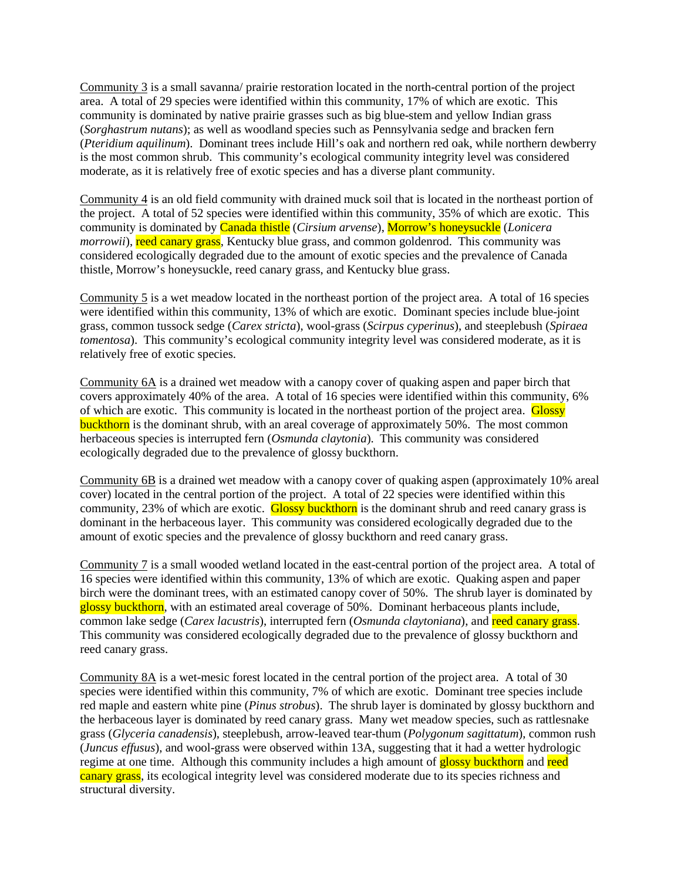Community 3 is a small savanna/ prairie restoration located in the north-central portion of the project area. A total of 29 species were identified within this community, 17% of which are exotic. This community is dominated by native prairie grasses such as big blue-stem and yellow Indian grass (*Sorghastrum nutans*); as well as woodland species such as Pennsylvania sedge and bracken fern (*Pteridium aquilinum*). Dominant trees include Hill's oak and northern red oak, while northern dewberry is the most common shrub. This community's ecological community integrity level was considered moderate, as it is relatively free of exotic species and has a diverse plant community.

Community 4 is an old field community with drained muck soil that is located in the northeast portion of the project. A total of 52 species were identified within this community, 35% of which are exotic. This community is dominated by Canada thistle (*Cirsium arvense*), Morrow's honeysuckle (*Lonicera morrowii*), reed canary grass, Kentucky blue grass, and common goldenrod. This community was considered ecologically degraded due to the amount of exotic species and the prevalence of Canada thistle, Morrow's honeysuckle, reed canary grass, and Kentucky blue grass.

Community 5 is a wet meadow located in the northeast portion of the project area. A total of 16 species were identified within this community, 13% of which are exotic. Dominant species include blue-joint grass, common tussock sedge (*Carex stricta*), wool-grass (*Scirpus cyperinus*), and steeplebush (*Spiraea tomentosa*). This community's ecological community integrity level was considered moderate, as it is relatively free of exotic species.

Community 6A is a drained wet meadow with a canopy cover of quaking aspen and paper birch that covers approximately 40% of the area. A total of 16 species were identified within this community, 6% of which are exotic. This community is located in the northeast portion of the project area. Glossy buckthorn is the dominant shrub, with an areal coverage of approximately 50%. The most common herbaceous species is interrupted fern (*Osmunda claytonia*). This community was considered ecologically degraded due to the prevalence of glossy buckthorn.

Community 6B is a drained wet meadow with a canopy cover of quaking aspen (approximately 10% areal cover) located in the central portion of the project. A total of 22 species were identified within this community, 23% of which are exotic. Glossy buckthorn is the dominant shrub and reed canary grass is dominant in the herbaceous layer. This community was considered ecologically degraded due to the amount of exotic species and the prevalence of glossy buckthorn and reed canary grass.

Community 7 is a small wooded wetland located in the east-central portion of the project area. A total of 16 species were identified within this community, 13% of which are exotic. Quaking aspen and paper birch were the dominant trees, with an estimated canopy cover of 50%. The shrub layer is dominated by glossy buckthorn, with an estimated areal coverage of 50%. Dominant herbaceous plants include, common lake sedge (*Carex lacustris*), interrupted fern (*Osmunda claytoniana*), and reed canary grass. This community was considered ecologically degraded due to the prevalence of glossy buckthorn and reed canary grass.

Community 8A is a wet-mesic forest located in the central portion of the project area. A total of 30 species were identified within this community, 7% of which are exotic. Dominant tree species include red maple and eastern white pine (*Pinus strobus*). The shrub layer is dominated by glossy buckthorn and the herbaceous layer is dominated by reed canary grass. Many wet meadow species, such as rattlesnake grass (*Glyceria canadensis*), steeplebush, arrow-leaved tear-thum (*Polygonum sagittatum*), common rush (*Juncus effusus*), and wool-grass were observed within 13A, suggesting that it had a wetter hydrologic regime at one time. Although this community includes a high amount of **glossy buckthorn** and reed canary grass, its ecological integrity level was considered moderate due to its species richness and structural diversity.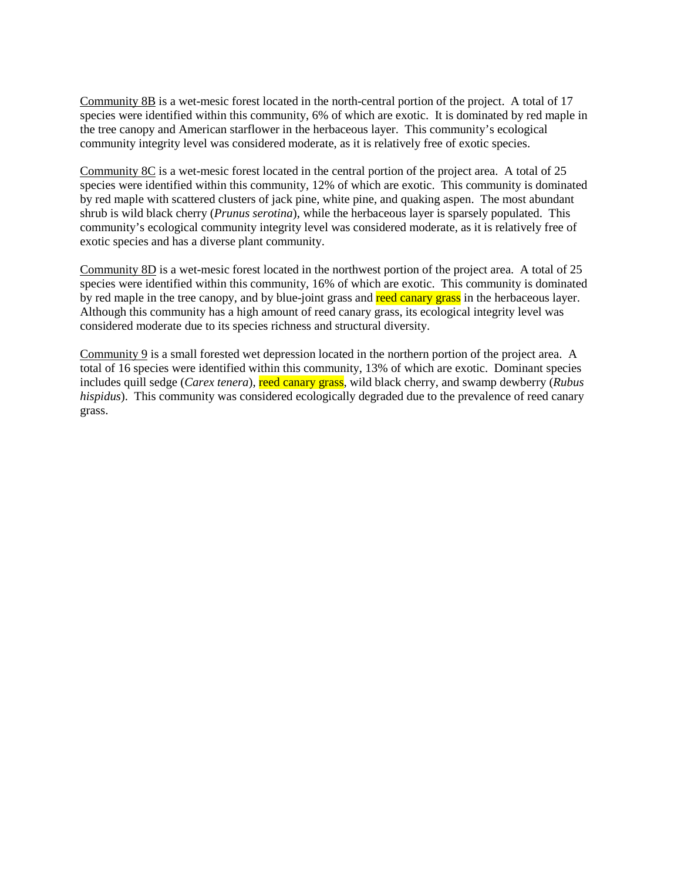Community 8B is a wet-mesic forest located in the north-central portion of the project. A total of 17 species were identified within this community, 6% of which are exotic. It is dominated by red maple in the tree canopy and American starflower in the herbaceous layer. This community's ecological community integrity level was considered moderate, as it is relatively free of exotic species.

Community 8C is a wet-mesic forest located in the central portion of the project area. A total of 25 species were identified within this community, 12% of which are exotic. This community is dominated by red maple with scattered clusters of jack pine, white pine, and quaking aspen. The most abundant shrub is wild black cherry (*Prunus serotina*), while the herbaceous layer is sparsely populated. This community's ecological community integrity level was considered moderate, as it is relatively free of exotic species and has a diverse plant community.

Community 8D is a wet-mesic forest located in the northwest portion of the project area. A total of 25 species were identified within this community, 16% of which are exotic. This community is dominated by red maple in the tree canopy, and by blue-joint grass and reed canary grass in the herbaceous layer. Although this community has a high amount of reed canary grass, its ecological integrity level was considered moderate due to its species richness and structural diversity.

Community 9 is a small forested wet depression located in the northern portion of the project area. A total of 16 species were identified within this community, 13% of which are exotic. Dominant species includes quill sedge (*Carex tenera*), reed canary grass, wild black cherry, and swamp dewberry (*Rubus hispidus*). This community was considered ecologically degraded due to the prevalence of reed canary grass.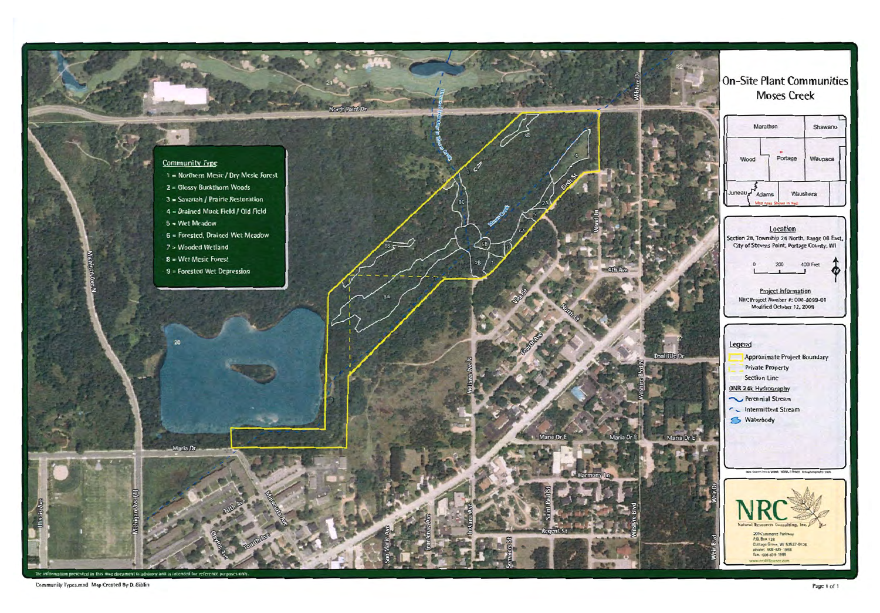

Community Types.mxd Map Created By D. Giblin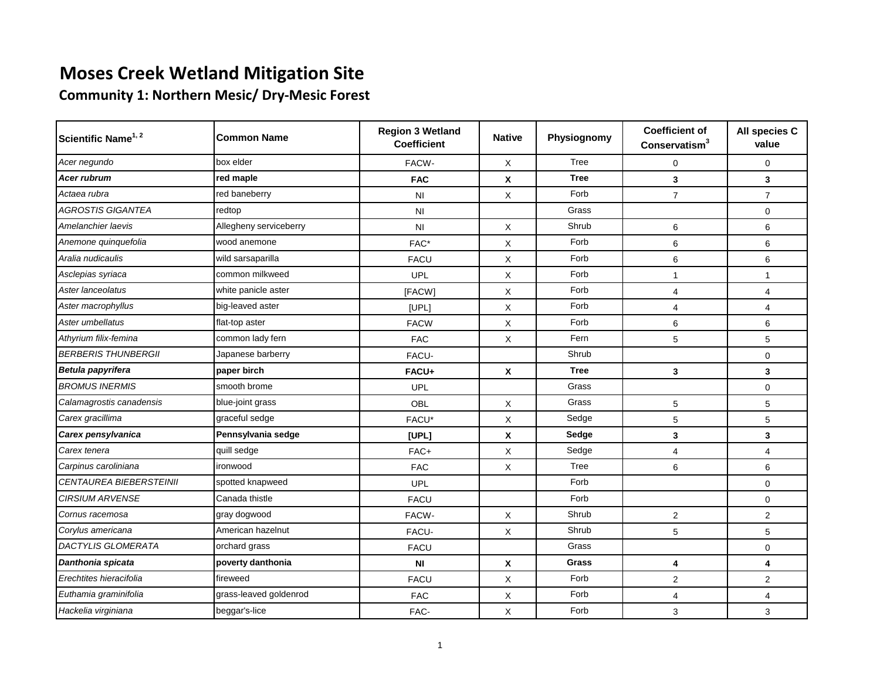**Community 1: Northern Mesic/ Dry-Mesic Forest**

| Scientific Name <sup>1, 2</sup> | <b>Common Name</b>     | <b>Region 3 Wetland</b><br><b>Coefficient</b> | <b>Native</b> | Physiognomy  | <b>Coefficient of</b><br>Conservatism $3$ | All species C<br>value |
|---------------------------------|------------------------|-----------------------------------------------|---------------|--------------|-------------------------------------------|------------------------|
| Acer negundo                    | box elder              | FACW-                                         | X             | Tree         | 0                                         | $\mathbf 0$            |
| <b>Acer rubrum</b>              | red maple              | <b>FAC</b>                                    | X             | <b>Tree</b>  | 3                                         | $\mathbf{3}$           |
| Actaea rubra                    | red baneberry          | NI                                            | X             | Forb         | $\overline{7}$                            | $\overline{7}$         |
| AGROSTIS GIGANTEA               | redtop                 | NI                                            |               | Grass        |                                           | $\mathbf 0$            |
| Amelanchier laevis              | Allegheny serviceberry | NI                                            | X             | Shrub        | 6                                         | 6                      |
| Anemone quinquefolia            | wood anemone           | FAC*                                          | X             | Forb         | 6                                         | 6                      |
| Aralia nudicaulis               | wild sarsaparilla      | <b>FACU</b>                                   | X             | Forb         | 6                                         | 6                      |
| Asclepias syriaca               | common milkweed        | UPL                                           | X             | Forb         | 1                                         | 1                      |
| Aster lanceolatus               | white panicle aster    | [FACW]                                        | X             | Forb         | 4                                         | $\overline{4}$         |
| Aster macrophyllus              | big-leaved aster       | [UPL]                                         | X             | Forb         | $\overline{\mathbf{4}}$                   | $\overline{4}$         |
| Aster umbellatus                | flat-top aster         | <b>FACW</b>                                   | X             | Forb         | 6                                         | 6                      |
| Athyrium filix-femina           | common lady fern       | <b>FAC</b>                                    | X             | Fern         | 5                                         | 5                      |
| <b>BERBERIS THUNBERGII</b>      | Japanese barberry      | FACU-                                         |               | Shrub        |                                           | $\mathbf 0$            |
| Betula papyrifera               | paper birch            | FACU+                                         | X             | <b>Tree</b>  | 3                                         | 3                      |
| <b>BROMUS INERMIS</b>           | smooth brome           | <b>UPL</b>                                    |               | Grass        |                                           | $\mathbf 0$            |
| Calamagrostis canadensis        | blue-joint grass       | OBL                                           | X             | Grass        | 5                                         | 5                      |
| Carex gracillima                | graceful sedge         | FACU*                                         | $\mathsf{X}$  | Sedge        | 5                                         | 5                      |
| Carex pensylvanica              | Pennsylvania sedge     | [UPL]                                         | X             | Sedge        | 3                                         | 3                      |
| Carex tenera                    | quill sedge            | FAC+                                          | $\mathsf{X}$  | Sedge        | $\overline{4}$                            | $\overline{4}$         |
| Carpinus caroliniana            | ironwood               | <b>FAC</b>                                    | X             | Tree         | 6                                         | $\,6$                  |
| CENTAUREA BIEBERSTEINII         | spotted knapweed       | <b>UPL</b>                                    |               | Forb         |                                           | $\mathbf 0$            |
| <b>CIRSIUM ARVENSE</b>          | Canada thistle         | <b>FACU</b>                                   |               | Forb         |                                           | $\mathbf 0$            |
| Cornus racemosa                 | gray dogwood           | FACW-                                         | X             | Shrub        | $\overline{c}$                            | $\overline{2}$         |
| Corylus americana               | American hazelnut      | FACU-                                         | X             | Shrub        | 5                                         | 5                      |
| <b>DACTYLIS GLOMERATA</b>       | orchard grass          | <b>FACU</b>                                   |               | Grass        |                                           | $\mathbf 0$            |
| Danthonia spicata               | poverty danthonia      | ΝI                                            | X             | <b>Grass</b> | 4                                         | 4                      |
| Erechtites hieracifolia         | fireweed               | <b>FACU</b>                                   | X             | Forb         | $\overline{c}$                            | $\overline{2}$         |
| Euthamia graminifolia           | grass-leaved goldenrod | <b>FAC</b>                                    | X             | Forb         | 4                                         | $\overline{4}$         |
| Hackelia virginiana             | beggar's-lice          | FAC-                                          | X             | Forb         | 3                                         | 3                      |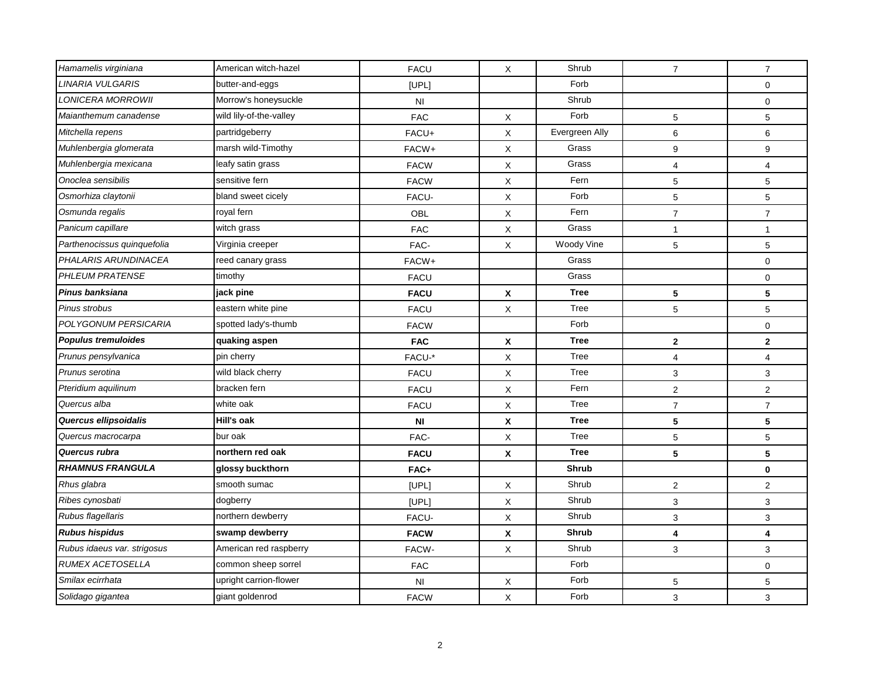| $\overline{7}$            | $\overline{7}$          |
|---------------------------|-------------------------|
|                           | 0                       |
|                           | 0                       |
| 5                         | 5                       |
| Evergreen Ally<br>$\,6\,$ | 6                       |
| 9                         | 9                       |
| $\overline{4}$            | $\overline{\mathbf{4}}$ |
| 5                         | 5                       |
| $\mathbf 5$               | 5                       |
| $\overline{7}$            | $\overline{7}$          |
| $\mathbf{1}$              | $\mathbf{1}$            |
| Woody Vine<br>5           | 5                       |
|                           | 0                       |
|                           | 0                       |
| 5                         | 5                       |
|                           |                         |
| 5                         | 5                       |
|                           | 0                       |
| $\mathbf{2}$              | $\mathbf{2}$            |
| $\overline{4}$            | $\overline{4}$          |
| $\sqrt{3}$                | 3                       |
| $\sqrt{2}$                | $\overline{\mathbf{c}}$ |
| $\overline{7}$            | $\overline{7}$          |
| 5                         | 5                       |
| 5                         | 5                       |
| 5                         | 5                       |
|                           | 0                       |
| $\overline{c}$            | $\overline{\mathbf{c}}$ |
| $\mathsf 3$               | 3                       |
| 3                         | 3                       |
| $\overline{\mathbf{4}}$   | 4                       |
| $\sqrt{3}$                | 3                       |
|                           | 0                       |
| 5                         | 5                       |
|                           |                         |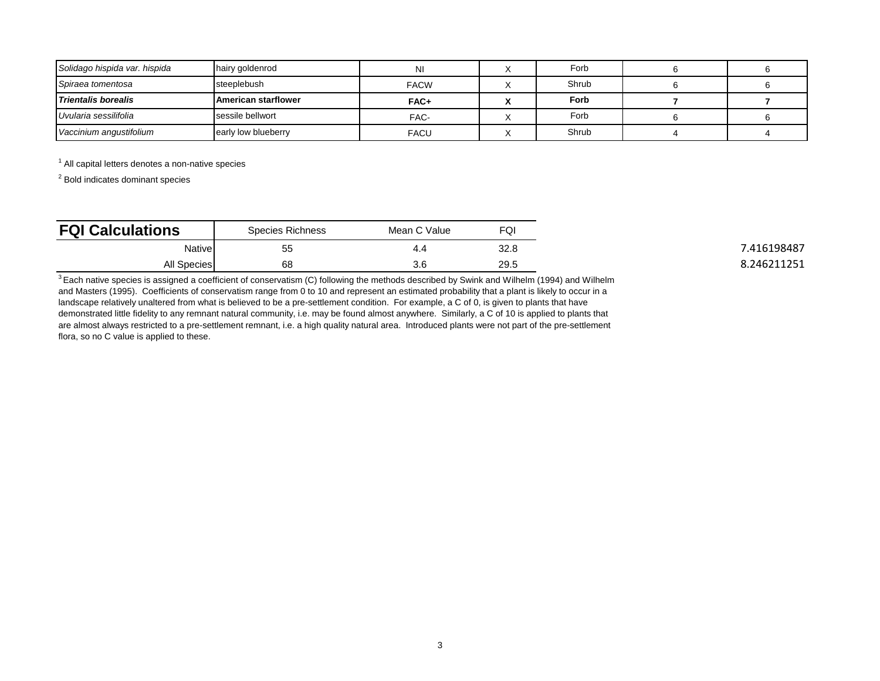| Solidago hispida var. hispida | hairy goldenrod            | <b>NI</b>   | Forb  |  |
|-------------------------------|----------------------------|-------------|-------|--|
| Spiraea tomentosa             | steeplebush                | <b>FACW</b> | Shrub |  |
| Trientalis borealis           | <b>American starflower</b> | FAC+        | Forb  |  |
| Uvularia sessilifolia         | sessile bellwort           | FAC-        | Forb  |  |
| Vaccinium angustifolium       | early low blueberry        | <b>FACU</b> | Shrub |  |

 $<sup>1</sup>$  All capital letters denotes a non-native species</sup>

<sup>2</sup> Bold indicates dominant species

| <b>FQI Calculations</b> | Species Richness | Mean C Value | FQI  |             |
|-------------------------|------------------|--------------|------|-------------|
| <b>Native</b>           | 55               | 4.4          | 32.8 | .416198487  |
| All Species             | 68               | 3.6          | 29.5 | 8.246211251 |

 $3$  Each native species is assigned a coefficient of conservatism (C) following the methods described by Swink and Wilhelm (1994) and Wilhelm and Masters (1995). Coefficients of conservatism range from 0 to 10 and represent an estimated probability that a plant is likely to occur in a landscape relatively unaltered from what is believed to be a pre-settlement condition. For example, a C of 0, is given to plants that have demonstrated little fidelity to any remnant natural community, i.e. may be found almost anywhere. Similarly, a C of 10 is applied to plants that are almost always restricted to a pre-settlement remnant, i.e. a high quality natural area. Introduced plants were not part of the pre-settlement flora, so no C value is applied to these.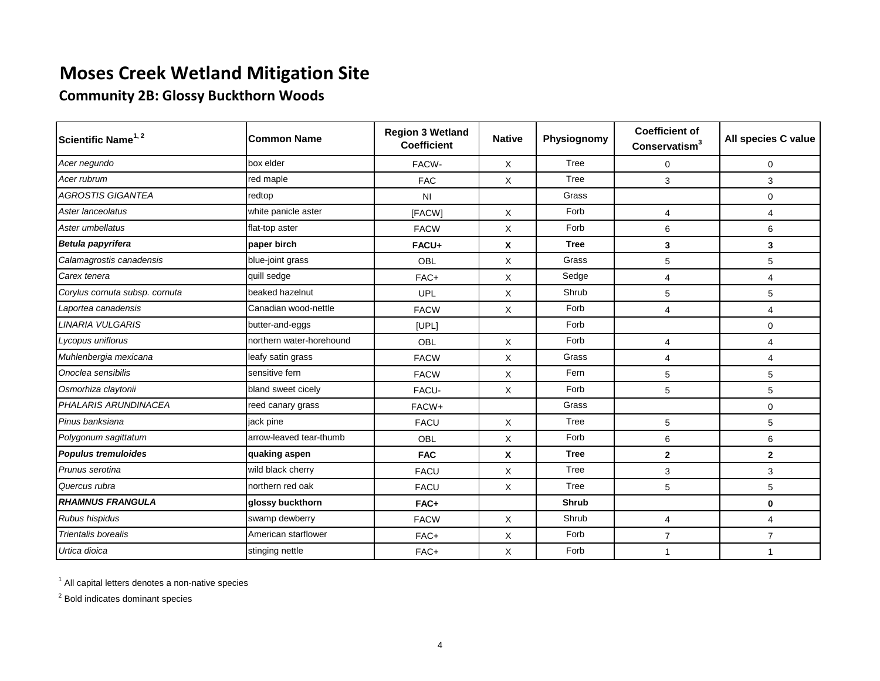## **Community 2B: Glossy Buckthorn Woods**

| Scientific Name <sup>1, 2</sup> | Common Name              | <b>Region 3 Wetland</b><br><b>Coefficient</b> | <b>Native</b> | Physiognomy  | <b>Coefficient of</b><br>Conservation <sup>3</sup> | All species C value |
|---------------------------------|--------------------------|-----------------------------------------------|---------------|--------------|----------------------------------------------------|---------------------|
| Acer negundo                    | box elder                | FACW-                                         | X             | Tree         | $\Omega$                                           | $\Omega$            |
| Acer rubrum                     | red maple                | <b>FAC</b>                                    | X             | Tree         | 3                                                  | 3                   |
| <b>AGROSTIS GIGANTEA</b>        | redtop                   | N <sub>l</sub>                                |               | Grass        |                                                    | $\Omega$            |
| Aster lanceolatus               | white panicle aster      | [FACW]                                        | X             | Forb         | 4                                                  | 4                   |
| Aster umbellatus                | flat-top aster           | <b>FACW</b>                                   | X             | Forb         | 6                                                  | 6                   |
| Betula papyrifera               | paper birch              | FACU+                                         | X             | <b>Tree</b>  | 3                                                  | 3                   |
| Calamagrostis canadensis        | blue-joint grass         | <b>OBL</b>                                    | X             | Grass        | 5                                                  | 5                   |
| Carex tenera                    | quill sedge              | FAC+                                          | X             | Sedge        | 4                                                  | 4                   |
| Corylus cornuta subsp. cornuta  | beaked hazelnut          | <b>UPL</b>                                    | X             | Shrub        | 5                                                  | 5                   |
| Laportea canadensis             | Canadian wood-nettle     | <b>FACW</b>                                   | X             | Forb         | 4                                                  | 4                   |
| <b>LINARIA VULGARIS</b>         | butter-and-eggs          | [UPL]                                         |               | Forb         |                                                    | $\mathbf 0$         |
| Lycopus uniflorus               | northern water-horehound | <b>OBL</b>                                    | X             | Forb         | 4                                                  | 4                   |
| Muhlenbergia mexicana           | leafy satin grass        | <b>FACW</b>                                   | X             | Grass        | $\overline{4}$                                     | $\overline{4}$      |
| Onoclea sensibilis              | sensitive fern           | <b>FACW</b>                                   | X             | Fern         | 5                                                  | 5                   |
| Osmorhiza claytonii             | bland sweet cicely       | FACU-                                         | X             | Forb         | 5                                                  | 5                   |
| PHALARIS ARUNDINACEA            | reed canary grass        | FACW+                                         |               | Grass        |                                                    | $\Omega$            |
| Pinus banksiana                 | jack pine                | <b>FACU</b>                                   | X             | Tree         | 5                                                  | 5                   |
| Polygonum sagittatum            | arrow-leaved tear-thumb  | <b>OBL</b>                                    | X             | Forb         | 6                                                  | 6                   |
| <b>Populus tremuloides</b>      | quaking aspen            | <b>FAC</b>                                    | X             | <b>Tree</b>  | $\mathbf{2}$                                       | $\mathbf{2}$        |
| Prunus serotina                 | wild black cherry        | <b>FACU</b>                                   | X             | Tree         | 3                                                  | 3                   |
| Quercus rubra                   | northern red oak         | <b>FACU</b>                                   | Χ             | Tree         | 5                                                  | 5                   |
| <b>RHAMNUS FRANGULA</b>         | glossy buckthorn         | FAC+                                          |               | <b>Shrub</b> |                                                    | $\mathbf 0$         |
| Rubus hispidus                  | swamp dewberry           | <b>FACW</b>                                   | X             | Shrub        | $\overline{4}$                                     | 4                   |
| <b>Trientalis borealis</b>      | American starflower      | FAC+                                          | X             | Forb         | $\overline{7}$                                     | $\overline{7}$      |
| Urtica dioica                   | stinging nettle          | FAC+                                          | X             | Forb         | 1                                                  | 1                   |

 $<sup>1</sup>$  All capital letters denotes a non-native species</sup>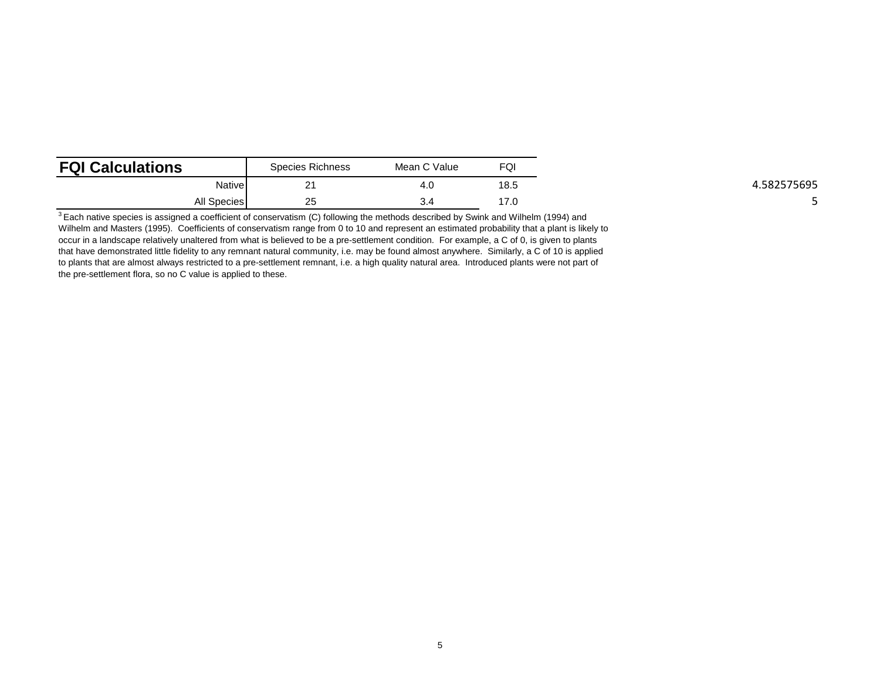| <b>FQI Calculations</b> | <b>Species Richness</b> | Mean C Value | FQI  |           |
|-------------------------|-------------------------|--------------|------|-----------|
| Native                  | ົ<br><u>_</u>           | 4.C          | 18.5 | 582575695 |
| <b>All Species</b>      | 25                      | 3.4          | 17.0 |           |

 $\frac{3}{3}$  Each native species is assigned a coefficient of conservatism (C) following the methods described by Swink and Wilhelm (1994) and Wilhelm and Masters (1995). Coefficients of conservatism range from 0 to 10 and represent an estimated probability that a plant is likely to occur in a landscape relatively unaltered from what is believed to be a pre-settlement condition. For example, a C of 0, is given to plants that have demonstrated little fidelity to any remnant natural community, i.e. may be found almost anywhere. Similarly, a C of 10 is applied to plants that are almost always restricted to a pre-settlement remnant, i.e. a high quality natural area. Introduced plants were not part of the pre-settlement flora, so no C value is applied to these.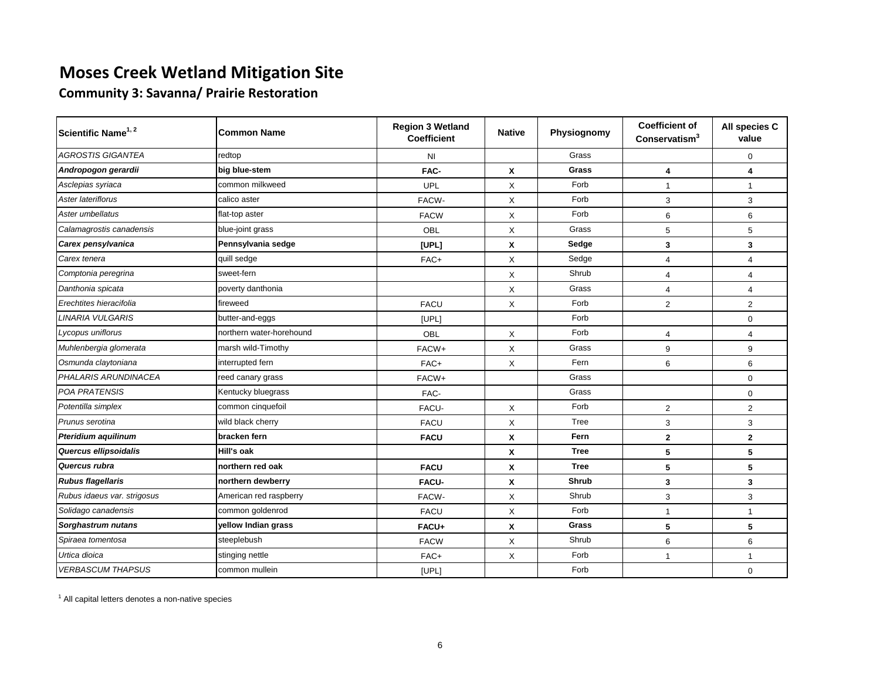**Community 3: Savanna/ Prairie Restoration**

| Scientific Name <sup>1, 2</sup> | Common Name              | <b>Region 3 Wetland</b><br><b>Coefficient</b> | <b>Native</b> | Physiognomy  | <b>Coefficient of</b><br>Conservatism <sup>3</sup> | All species C<br>value  |
|---------------------------------|--------------------------|-----------------------------------------------|---------------|--------------|----------------------------------------------------|-------------------------|
| <b>AGROSTIS GIGANTEA</b>        | redtop                   | N <sub>l</sub>                                |               | Grass        |                                                    | $\mathbf 0$             |
| Andropogon gerardii             | big blue-stem            | FAC-                                          | X             | Grass        | $\overline{\mathbf{4}}$                            | 4                       |
| Asclepias syriaca               | common milkweed          | UPL                                           | X             | Forb         | $\overline{1}$                                     | $\mathbf{1}$            |
| Aster lateriflorus              | calico aster             | FACW-                                         | X             | Forb         | 3                                                  | 3                       |
| Aster umbellatus                | flat-top aster           | <b>FACW</b>                                   | X             | Forb         | 6                                                  | 6                       |
| Calamagrostis canadensis        | blue-joint grass         | OBL                                           | X             | Grass        | 5                                                  | 5                       |
| Carex pensylvanica              | Pennsylvania sedge       | [UPL]                                         | X             | Sedge        | 3                                                  | 3                       |
| Carex tenera                    | quill sedge              | FAC+                                          | X             | Sedge        | $\overline{4}$                                     | 4                       |
| Comptonia peregrina             | sweet-fern               |                                               | X             | Shrub        | $\overline{4}$                                     | $\overline{\mathbf{4}}$ |
| Danthonia spicata               | poverty danthonia        |                                               | X             | Grass        | $\overline{4}$                                     | $\overline{4}$          |
| Erechtites hieracifolia         | fireweed                 | <b>FACU</b>                                   | X             | Forb         | 2                                                  | $\overline{2}$          |
| <b>LINARIA VULGARIS</b>         | butter-and-eggs          | [UPL]                                         |               | Forb         |                                                    | $\mathbf 0$             |
| Lycopus uniflorus               | northern water-horehound | OBL                                           | X             | Forb         | $\overline{4}$                                     | 4                       |
| Muhlenbergia glomerata          | marsh wild-Timothy       | FACW+                                         | X             | Grass        | 9                                                  | 9                       |
| Osmunda claytoniana             | interrupted fern         | FAC+                                          | X             | Fern         | 6                                                  | 6                       |
| <b>PHALARIS ARUNDINACEA</b>     | reed canary grass        | FACW+                                         |               | Grass        |                                                    | $\mathbf 0$             |
| POA PRATENSIS                   | Kentucky bluegrass       | FAC-                                          |               | Grass        |                                                    | $\mathbf 0$             |
| Potentilla simplex              | common cinquefoil        | FACU-                                         | X             | Forb         | 2                                                  | $\overline{2}$          |
| Prunus serotina                 | wild black cherry        | <b>FACU</b>                                   | X             | Tree         | 3                                                  | 3                       |
| <b>Pteridium aquilinum</b>      | bracken fern             | <b>FACU</b>                                   | X             | Fern         | $\mathbf{2}$                                       | $\mathbf{2}$            |
| Quercus ellipsoidalis           | Hill's oak               |                                               | X             | <b>Tree</b>  | 5                                                  | 5                       |
| Quercus rubra                   | northern red oak         | <b>FACU</b>                                   | X             | <b>Tree</b>  | 5                                                  | 5                       |
| <b>Rubus flagellaris</b>        | northern dewberry        | <b>FACU-</b>                                  | X             | <b>Shrub</b> | 3                                                  | 3                       |
| Rubus idaeus var. strigosus     | American red raspberry   | FACW-                                         | X             | Shrub        | 3                                                  | 3                       |
| Solidago canadensis             | common goldenrod         | <b>FACU</b>                                   | X             | Forb         | $\mathbf{1}$                                       | $\mathbf{1}$            |
| Sorghastrum nutans              | yellow Indian grass      | FACU+                                         | X             | Grass        | 5                                                  | 5                       |
| Spiraea tomentosa               | steeplebush              | <b>FACW</b>                                   | X             | Shrub        | 6                                                  | 6                       |
| Urtica dioica                   | stinging nettle          | FAC+                                          | X             | Forb         | $\mathbf{1}$                                       | $\mathbf{1}$            |
| <b>VERBASCUM THAPSUS</b>        | common mullein           | [UPL]                                         |               | Forb         |                                                    | $\mathbf 0$             |

<sup>1</sup> All capital letters denotes a non-native species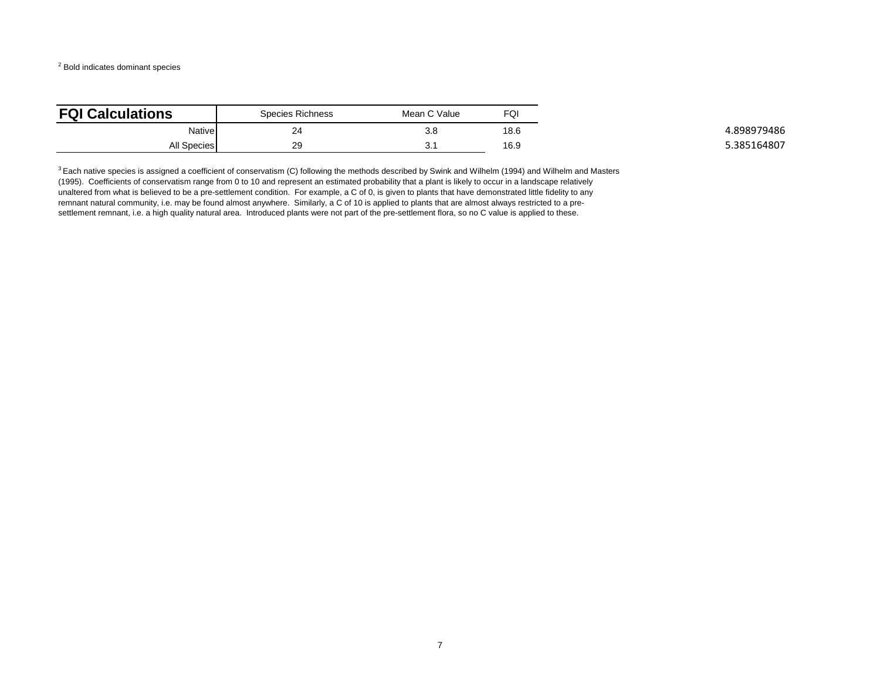<sup>2</sup> Bold indicates dominant species

| <b>FQI Calculations</b> | Species Richness | Mean C Value | FQI  |
|-------------------------|------------------|--------------|------|
| Native                  | 24<br>47         | 3.8          | 18.6 |
| All Species             | 29               | ບ.           | 16.9 |

 $3$  Each native species is assigned a coefficient of conservatism (C) following the methods described by Swink and Wilhelm (1994) and Wilhelm and Masters (1995). Coefficients of conservatism range from 0 to 10 and represent an estimated probability that a plant is likely to occur in a landscape relatively unaltered from what is believed to be a pre-settlement condition. For example, a C of 0, is given to plants that have demonstrated little fidelity to any remnant natural community, i.e. may be found almost anywhere. Similarly, a C of 10 is applied to plants that are almost always restricted to a presettlement remnant, i.e. a high quality natural area. Introduced plants were not part of the pre-settlement flora, so no C value is applied to these.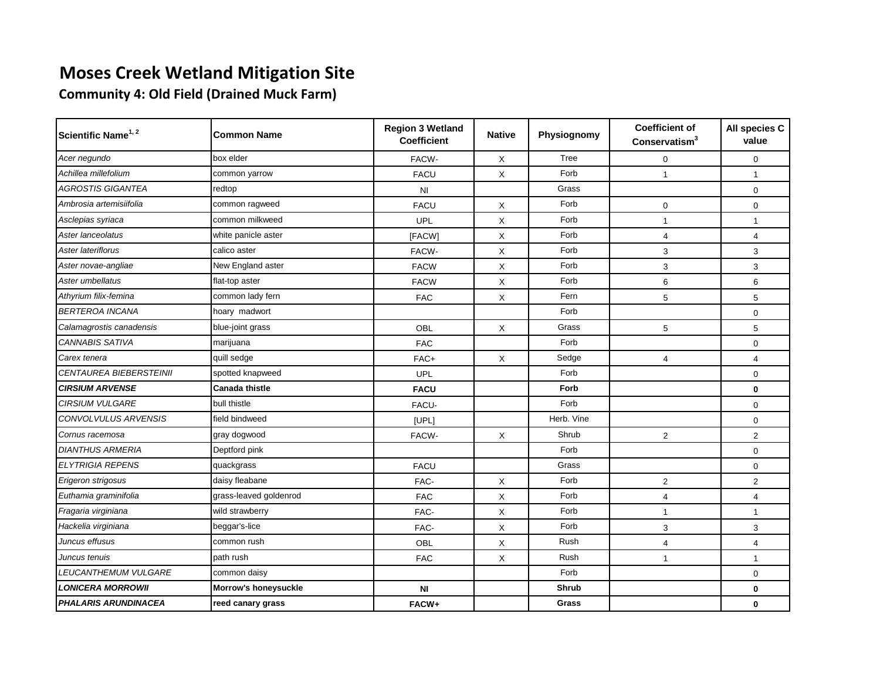**Community 4: Old Field (Drained Muck Farm)**

| Scientific Name <sup>1, 2</sup> | <b>Common Name</b>     | <b>Region 3 Wetland</b><br><b>Coefficient</b> | <b>Native</b> | Physiognomy | <b>Coefficient of</b><br>Conservating <sup>3</sup> | All species C<br>value |
|---------------------------------|------------------------|-----------------------------------------------|---------------|-------------|----------------------------------------------------|------------------------|
| Acer negundo                    | box elder              | FACW-                                         | X             | Tree        | 0                                                  | $\mathbf 0$            |
| Achillea millefolium            | common yarrow          | <b>FACU</b>                                   | X             | Forb        | $\mathbf{1}$                                       | $\mathbf{1}$           |
| <b>AGROSTIS GIGANTEA</b>        | redtop                 | N <sub>l</sub>                                |               | Grass       |                                                    | $\mathbf 0$            |
| Ambrosia artemisiifolia         | common ragweed         | <b>FACU</b>                                   | X             | Forb        | $\mathbf{0}$                                       | $\mathbf{0}$           |
| Asclepias syriaca               | common milkweed        | UPL                                           | X             | Forb        | $\mathbf{1}$                                       | $\mathbf{1}$           |
| Aster lanceolatus               | white panicle aster    | [FACW]                                        | X             | Forb        | 4                                                  | $\overline{4}$         |
| Aster lateriflorus              | calico aster           | FACW-                                         | X             | Forb        | 3                                                  | 3                      |
| Aster novae-angliae             | New England aster      | <b>FACW</b>                                   | X             | Forb        | 3                                                  | 3                      |
| Aster umbellatus                | flat-top aster         | <b>FACW</b>                                   | X             | Forb        | 6                                                  | 6                      |
| Athyrium filix-femina           | common lady fern       | <b>FAC</b>                                    | X             | Fern        | 5                                                  | 5                      |
| <b>BERTEROA INCANA</b>          | hoary madwort          |                                               |               | Forb        |                                                    | $\mathbf 0$            |
| Calamagrostis canadensis        | blue-joint grass       | OBL                                           | X             | Grass       | 5                                                  | 5                      |
| CANNABIS SATIVA                 | marijuana              | <b>FAC</b>                                    |               | Forb        |                                                    | $\mathbf 0$            |
| Carex tenera                    | quill sedge            | FAC+                                          | X             | Sedge       | $\overline{4}$                                     | $\overline{4}$         |
| <b>CENTAUREA BIEBERSTEINII</b>  | spotted knapweed       | UPL                                           |               | Forb        |                                                    | $\mathbf 0$            |
| <b>CIRSIUM ARVENSE</b>          | <b>Canada thistle</b>  | <b>FACU</b>                                   |               | Forb        |                                                    | $\mathbf 0$            |
| <b>CIRSIUM VULGARE</b>          | bull thistle           | FACU-                                         |               | Forb        |                                                    | $\mathbf{0}$           |
| CONVOLVULUS ARVENSIS            | field bindweed         | [UPL]                                         |               | Herb. Vine  |                                                    | $\mathbf 0$            |
| Cornus racemosa                 | gray dogwood           | FACW-                                         | X             | Shrub       | $\overline{2}$                                     | $\overline{2}$         |
| <b>DIANTHUS ARMERIA</b>         | Deptford pink          |                                               |               | Forb        |                                                    | $\mathbf{0}$           |
| <b>ELYTRIGIA REPENS</b>         | quackgrass             | <b>FACU</b>                                   |               | Grass       |                                                    | $\mathbf 0$            |
| Erigeron strigosus              | daisy fleabane         | FAC-                                          | X             | Forb        | $\overline{2}$                                     | $\overline{2}$         |
| Euthamia graminifolia           | grass-leaved goldenrod | <b>FAC</b>                                    | X             | Forb        | 4                                                  | $\overline{4}$         |
| Fragaria virginiana             | wild strawberry        | FAC-                                          | X             | Forb        | $\mathbf{1}$                                       | $\mathbf{1}$           |
| Hackelia virginiana             | beggar's-lice          | FAC-                                          | X             | Forb        | 3                                                  | 3                      |
| Juncus effusus                  | common rush            | OBL                                           | X             | Rush        | 4                                                  | $\overline{4}$         |
| Juncus tenuis                   | path rush              | <b>FAC</b>                                    | X             | Rush        | $\mathbf{1}$                                       | $\mathbf{1}$           |
| LEUCANTHEMUM VULGARE            | common daisy           |                                               |               | Forb        |                                                    | $\mathbf 0$            |
| <b>LONICERA MORROWII</b>        | Morrow's honeysuckle   | N <sub>l</sub>                                |               | Shrub       |                                                    | $\mathbf 0$            |
| <b>PHALARIS ARUNDINACEA</b>     | reed canary grass      | FACW+                                         |               | Grass       |                                                    | $\bf{0}$               |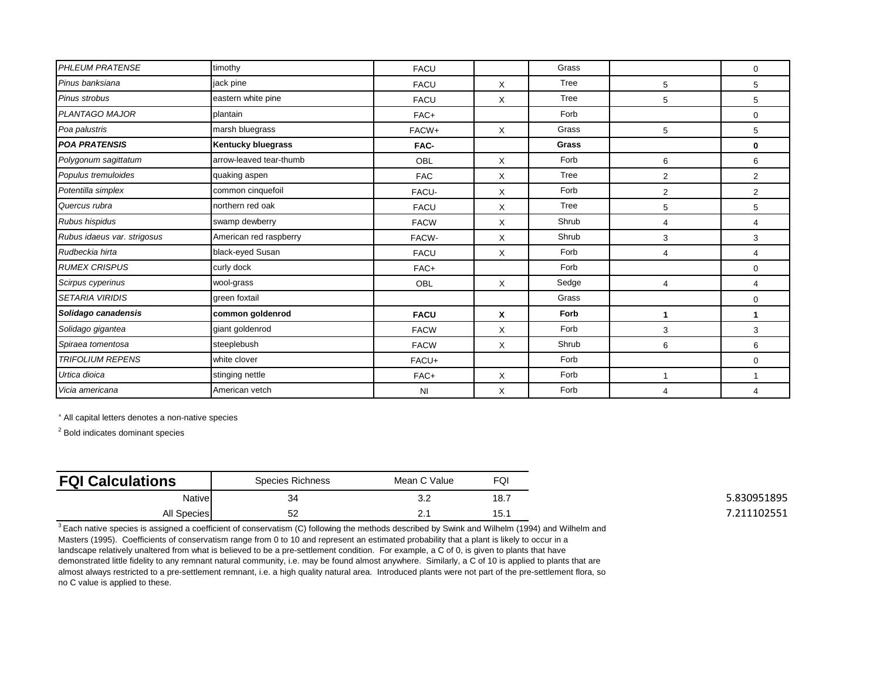| <b>PHLEUM PRATENSE</b>      | timothy                   | <b>FACU</b>    |   | Grass |                | 0              |
|-----------------------------|---------------------------|----------------|---|-------|----------------|----------------|
| Pinus banksiana             | jack pine                 | <b>FACU</b>    | X | Tree  | 5              | 5              |
| Pinus strobus               | eastern white pine        | <b>FACU</b>    | X | Tree  | 5              | 5              |
| <b>PLANTAGO MAJOR</b>       | plantain                  | FAC+           |   | Forb  |                | 0              |
| Poa palustris               | marsh bluegrass           | FACW+          | X | Grass | 5              | 5              |
| <b>POA PRATENSIS</b>        | <b>Kentucky bluegrass</b> | FAC-           |   | Grass |                | 0              |
| Polygonum sagittatum        | arrow-leaved tear-thumb   | OBL            | X | Forb  | 6              | 6              |
| Populus tremuloides         | quaking aspen             | <b>FAC</b>     | X | Tree  | $\overline{2}$ | $\overline{2}$ |
| Potentilla simplex          | common cinquefoil         | FACU-          | X | Forb  | $\overline{2}$ | $\overline{2}$ |
| Quercus rubra               | northern red oak          | <b>FACU</b>    | X | Tree  | 5              | 5              |
| Rubus hispidus              | swamp dewberry            | <b>FACW</b>    | X | Shrub | $\overline{4}$ | 4              |
| Rubus idaeus var. strigosus | American red raspberry    | FACW-          | X | Shrub | 3              | 3              |
| Rudbeckia hirta             | black-eyed Susan          | <b>FACU</b>    | X | Forb  | $\overline{4}$ | 4              |
| <b>RUMEX CRISPUS</b>        | curly dock                | FAC+           |   | Forb  |                | $\mathbf 0$    |
| Scirpus cyperinus           | wool-grass                | OBL            | X | Sedge | $\overline{4}$ | 4              |
| <b>SETARIA VIRIDIS</b>      | green foxtail             |                |   | Grass |                | 0              |
| Solidago canadensis         | common goldenrod          | <b>FACU</b>    | X | Forb  | 1              | 1              |
| Solidago gigantea           | giant goldenrod           | <b>FACW</b>    | X | Forb  | 3              | 3              |
| Spiraea tomentosa           | steeplebush               | <b>FACW</b>    | X | Shrub | 6              | 6              |
| <b>TRIFOLIUM REPENS</b>     | white clover              | FACU+          |   | Forb  |                | $\mathbf 0$    |
| Urtica dioica               | stinging nettle           | FAC+           | X | Forb  | 1              |                |
| Vicia americana             | American vetch            | N <sub>1</sub> | X | Forb  | $\overline{4}$ | 4              |

<sup>1</sup> All capital letters denotes a non-native species

<sup>2</sup> Bold indicates dominant species

| <b>FQI Calculations</b> | Species Richness | Mean C Value | FQI               |
|-------------------------|------------------|--------------|-------------------|
| <b>Native</b>           | 34               | J.Z          | 18.7              |
| <b>All Species</b>      | 52               | <u>.</u>     | 15.<br><b>ت</b> ا |

 $3$  Each native species is assigned a coefficient of conservatism (C) following the methods described by Swink and Wilhelm (1994) and Wilhelm and Masters (1995). Coefficients of conservatism range from 0 to 10 and represent an estimated probability that a plant is likely to occur in a landscape relatively unaltered from what is believed to be a pre-settlement condition. For example, a C of 0, is given to plants that have demonstrated little fidelity to any remnant natural community, i.e. may be found almost anywhere. Similarly, a C of 10 is applied to plants that are almost always restricted to a pre-settlement remnant, i.e. a high quality natural area. Introduced plants were not part of the pre-settlement flora, so no C value is applied to these.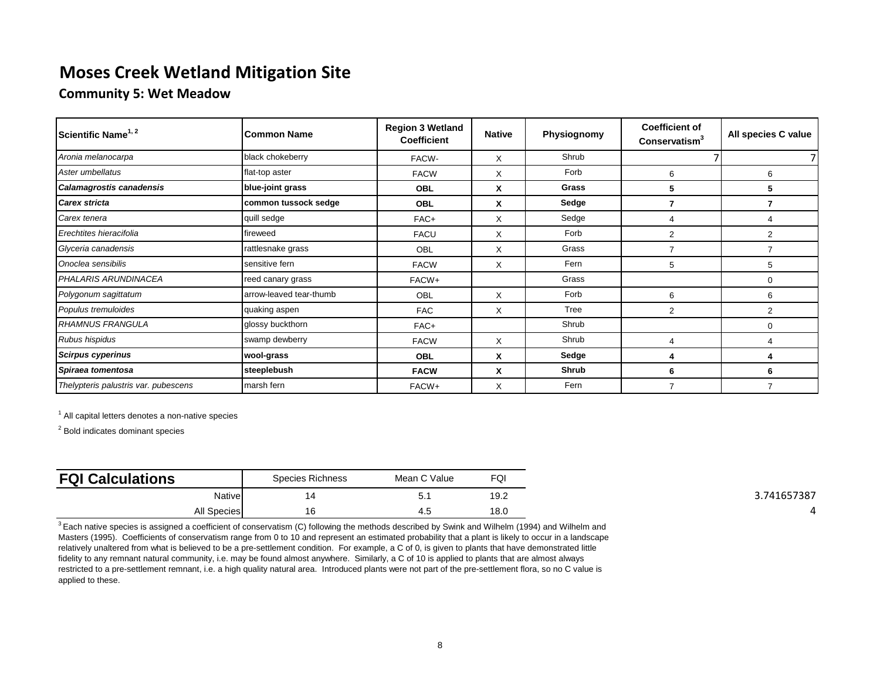#### **Community 5: Wet Meadow**

| Scientific Name <sup>1, 2</sup>      | <b>Common Name</b>      | <b>Region 3 Wetland</b><br><b>Coefficient</b> | <b>Native</b> | Physiognomy  | <b>Coefficient of</b><br>Conservatism <sup>3</sup> | All species C value |
|--------------------------------------|-------------------------|-----------------------------------------------|---------------|--------------|----------------------------------------------------|---------------------|
| Aronia melanocarpa                   | black chokeberry        | FACW-                                         | X             | Shrub        |                                                    |                     |
| Aster umbellatus                     | flat-top aster          | <b>FACW</b>                                   | X             | Forb         | 6                                                  | 6                   |
| Calamagrostis canadensis             | blue-joint grass        | <b>OBL</b>                                    | X             | Grass        | 5                                                  | 5                   |
| <b>Carex stricta</b>                 | common tussock sedge    | <b>OBL</b>                                    | X             | Sedge        |                                                    |                     |
| Carex tenera                         | quill sedge             | FAC+                                          | X             | Sedge        | 4                                                  |                     |
| Erechtites hieracifolia              | fireweed                | <b>FACU</b>                                   | X             | Forb         | 2                                                  | 2                   |
| Glyceria canadensis                  | rattlesnake grass       | <b>OBL</b>                                    | X             | Grass        |                                                    |                     |
| Onoclea sensibilis                   | sensitive fern          | <b>FACW</b>                                   | X             | Fern         | 5                                                  | 5                   |
| PHALARIS ARUNDINACEA                 | reed canary grass       | FACW+                                         |               | Grass        |                                                    | 0                   |
| Polygonum sagittatum                 | arrow-leaved tear-thumb | OBL                                           | X             | Forb         | 6                                                  | 6                   |
| Populus tremuloides                  | quaking aspen           | <b>FAC</b>                                    | X             | Tree         | 2                                                  | $\overline{2}$      |
| <b>RHAMNUS FRANGULA</b>              | glossy buckthorn        | FAC+                                          |               | Shrub        |                                                    | $\Omega$            |
| Rubus hispidus                       | swamp dewberry          | <b>FACW</b>                                   | X             | Shrub        | 4                                                  |                     |
| <b>Scirpus cyperinus</b>             | wool-grass              | <b>OBL</b>                                    | X             | Sedge        | 4                                                  | 4                   |
| Spiraea tomentosa                    | steeplebush             | <b>FACW</b>                                   | X             | <b>Shrub</b> | 6                                                  | 6                   |
| Thelypteris palustris var. pubescens | marsh fern              | FACW+                                         | X             | Fern         | $\overline{7}$                                     | $\overline{7}$      |

<sup>1</sup> All capital letters denotes a non-native species

<sup>2</sup> Bold indicates dominant species

| <b>FQI Calculations</b> | Species Richness | Mean C Value | FQI  |
|-------------------------|------------------|--------------|------|
| <b>Native</b>           |                  | ູ            | 19.2 |
| <b>All Species</b>      | 16               | 4.5          | 18.0 |

 $3$  Each native species is assigned a coefficient of conservatism (C) following the methods described by Swink and Wilhelm (1994) and Wilhelm and Masters (1995). Coefficients of conservatism range from 0 to 10 and represent an estimated probability that a plant is likely to occur in a landscape relatively unaltered from what is believed to be a pre-settlement condition. For example, a C of 0, is given to plants that have demonstrated little fidelity to any remnant natural community, i.e. may be found almost anywhere. Similarly, a C of 10 is applied to plants that are almost always restricted to a pre-settlement remnant, i.e. a high quality natural area. Introduced plants were not part of the pre-settlement flora, so no C value is applied to these.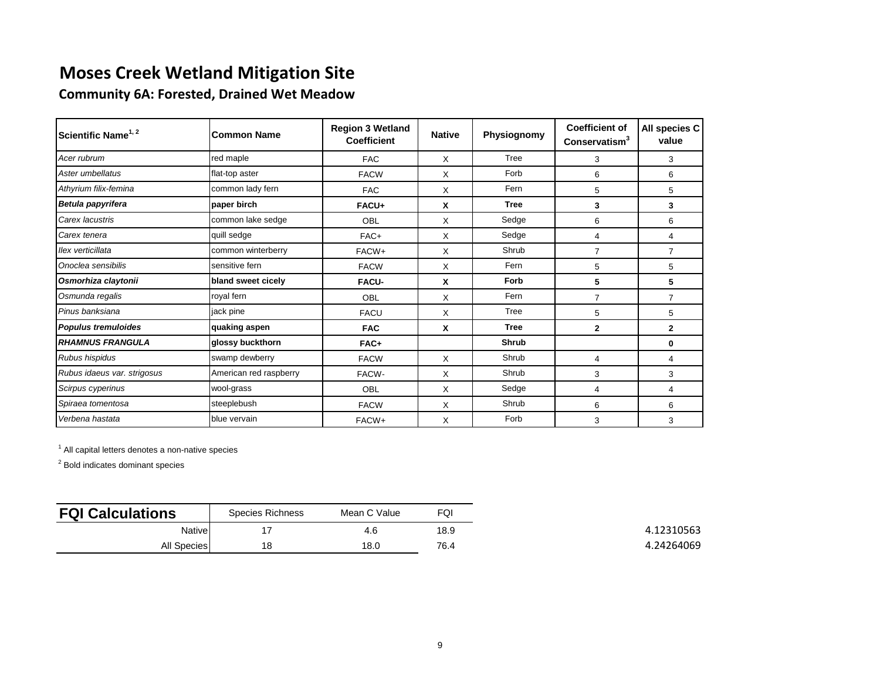**Community 6A: Forested, Drained Wet Meadow**

| Scientific Name <sup>1, 2</sup> | <b>Common Name</b>     | <b>Region 3 Wetland</b><br><b>Coefficient</b> | <b>Native</b> | Physiognomy  | <b>Coefficient of</b><br>Conservatism <sup>3</sup> | All species C<br>value |
|---------------------------------|------------------------|-----------------------------------------------|---------------|--------------|----------------------------------------------------|------------------------|
| Acer rubrum                     | red maple              | <b>FAC</b>                                    | X             | Tree         | 3                                                  | 3                      |
| Aster umbellatus                | flat-top aster         | <b>FACW</b>                                   | X             | Forb         | 6                                                  | 6                      |
| Athyrium filix-femina           | common lady fern       | <b>FAC</b>                                    | X             | Fern         | 5                                                  | 5                      |
| Betula papyrifera               | paper birch            | FACU+                                         | X             | <b>Tree</b>  | 3                                                  | 3                      |
| Carex lacustris                 | common lake sedge      | OBL                                           | X             | Sedge        | 6                                                  | 6                      |
| Carex tenera                    | quill sedge            | FAC+                                          | X             | Sedge        | 4                                                  | 4                      |
| Ilex verticillata               | common winterberry     | FACW+                                         | X             | Shrub        | $\overline{7}$                                     | 7                      |
| Onoclea sensibilis              | sensitive fern         | <b>FACW</b>                                   | X             | Fern         | 5                                                  | 5                      |
| Osmorhiza claytonii             | bland sweet cicely     | <b>FACU-</b>                                  | X             | Forb         | 5                                                  | 5                      |
| Osmunda regalis                 | royal fern             | OBL                                           | X             | Fern         | $\overline{7}$                                     | $\overline{7}$         |
| Pinus banksiana                 | jack pine              | <b>FACU</b>                                   | X             | Tree         | 5                                                  | 5                      |
| <b>Populus tremuloides</b>      | quaking aspen          | <b>FAC</b>                                    | X             | <b>Tree</b>  | $\mathbf{2}$                                       | $\mathbf{2}$           |
| <b>RHAMNUS FRANGULA</b>         | glossy buckthorn       | FAC+                                          |               | <b>Shrub</b> |                                                    | 0                      |
| Rubus hispidus                  | swamp dewberry         | <b>FACW</b>                                   | X             | Shrub        | 4                                                  | 4                      |
| Rubus idaeus var. strigosus     | American red raspberry | FACW-                                         | X             | Shrub        | 3                                                  | 3                      |
| Scirpus cyperinus               | wool-grass             | OBL                                           | X             | Sedge        | 4                                                  | 4                      |
| Spiraea tomentosa               | steeplebush            | <b>FACW</b>                                   | X             | Shrub        | 6                                                  | 6                      |
| Verbena hastata                 | blue vervain           | FACW+                                         | X             | Forb         | 3                                                  | 3                      |

<sup>1</sup> All capital letters denotes a non-native species

| <b>FQI Calculations</b> | Species Richness | Mean C Value | FQI  |
|-------------------------|------------------|--------------|------|
| Native                  |                  | 4.6          | 18.9 |
| <b>All Species</b>      | 18               | 18.0         | 76.4 |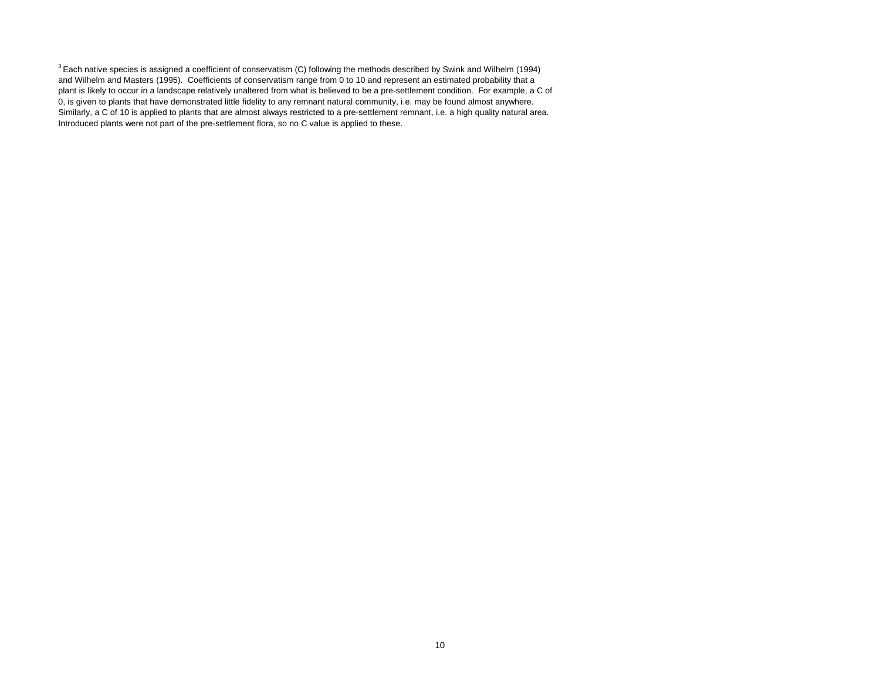$3$  Each native species is assigned a coefficient of conservatism (C) following the methods described by Swink and Wilhelm (1994) and Wilhelm and Masters (1995). Coefficients of conservatism range from 0 to 10 and represent an estimated probability that a plant is likely to occur in a landscape relatively unaltered from what is believed to be a pre-settlement condition. For example, a C of 0, is given to plants that have demonstrated little fidelity to any remnant natural community, i.e. may be found almost anywhere. Similarly, a C of 10 is applied to plants that are almost always restricted to a pre-settlement remnant, i.e. a high quality natural area. Introduced plants were not part of the pre-settlement flora, so no C value is applied to these.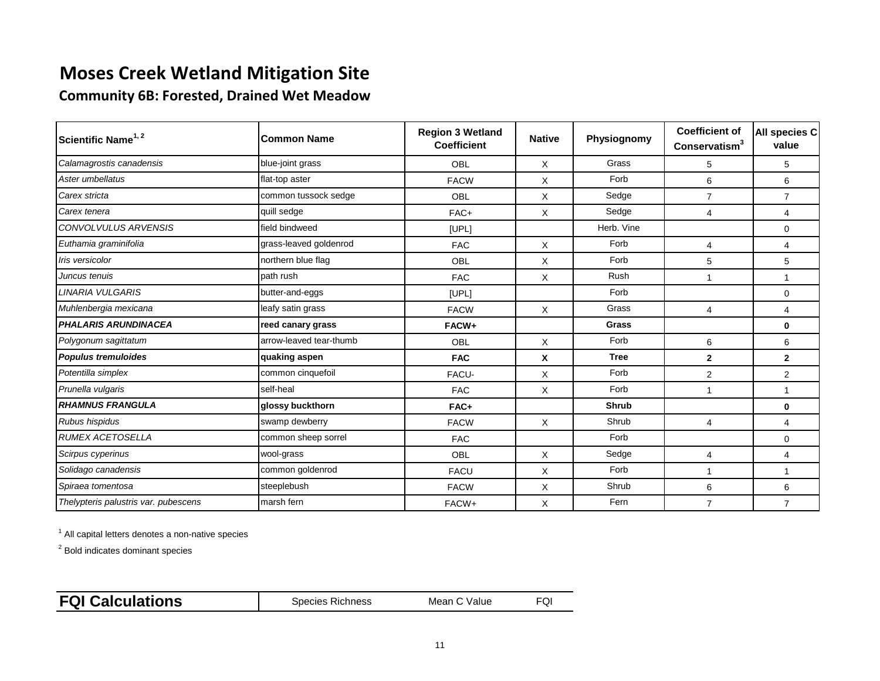**Community 6B: Forested, Drained Wet Meadow**

| Scientific Name <sup>1, 2</sup>      | lCommon Name            | <b>Region 3 Wetland</b><br><b>Coefficient</b> | <b>Native</b> | Physiognomy  | <b>Coefficient of</b><br>Conservatism <sup>3</sup> | All species C<br>value |
|--------------------------------------|-------------------------|-----------------------------------------------|---------------|--------------|----------------------------------------------------|------------------------|
| Calamagrostis canadensis             | blue-joint grass        | OBL                                           | X             | Grass        | 5                                                  | 5                      |
| Aster umbellatus                     | flat-top aster          | <b>FACW</b>                                   | X             | Forb         | 6                                                  | 6                      |
| Carex stricta                        | common tussock sedge    | OBL                                           | X             | Sedge        | $\overline{7}$                                     | $\overline{7}$         |
| Carex tenera                         | quill sedge             | FAC+                                          | X             | Sedge        | 4                                                  | 4                      |
| <b>CONVOLVULUS ARVENSIS</b>          | field bindweed          | [UPL]                                         |               | Herb. Vine   |                                                    | $\mathbf 0$            |
| Euthamia graminifolia                | grass-leaved goldenrod  | <b>FAC</b>                                    | X             | Forb         | $\overline{4}$                                     | 4                      |
| Iris versicolor                      | northern blue flag      | OBL                                           | X             | Forb         | 5                                                  | 5                      |
| Juncus tenuis                        | path rush               | <b>FAC</b>                                    | $\times$      | <b>Rush</b>  | 1                                                  | 1                      |
| <b>LINARIA VULGARIS</b>              | butter-and-eggs         | [UPL]                                         |               | Forb         |                                                    | $\mathbf 0$            |
| Muhlenbergia mexicana                | leafy satin grass       | <b>FACW</b>                                   | X             | Grass        | 4                                                  | 4                      |
| <b>PHALARIS ARUNDINACEA</b>          | reed canary grass       | FACW+                                         |               | Grass        |                                                    | 0                      |
| Polygonum sagittatum                 | arrow-leaved tear-thumb | OBL                                           | $\times$      | Forb         | 6                                                  | 6                      |
| <b>Populus tremuloides</b>           | quaking aspen           | <b>FAC</b>                                    | X             | <b>Tree</b>  | $\mathbf{2}$                                       | $\mathbf{2}$           |
| Potentilla simplex                   | common cinquefoil       | FACU-                                         | X             | Forb         | $\overline{2}$                                     | 2                      |
| Prunella vulgaris                    | self-heal               | <b>FAC</b>                                    | X             | Forb         | 1                                                  | 1                      |
| <b>RHAMNUS FRANGULA</b>              | glossy buckthorn        | FAC+                                          |               | <b>Shrub</b> |                                                    | 0                      |
| Rubus hispidus                       | swamp dewberry          | <b>FACW</b>                                   | $\times$      | Shrub        | 4                                                  | 4                      |
| <b>RUMEX ACETOSELLA</b>              | common sheep sorrel     | <b>FAC</b>                                    |               | Forb         |                                                    | $\mathbf 0$            |
| Scirpus cyperinus                    | wool-grass              | OBL                                           | X             | Sedge        | 4                                                  | 4                      |
| Solidago canadensis                  | common goldenrod        | <b>FACU</b>                                   | X             | Forb         | 1                                                  | 1                      |
| Spiraea tomentosa                    | steeplebush             | <b>FACW</b>                                   | X             | Shrub        | 6                                                  | 6                      |
| Thelypteris palustris var. pubescens | marsh fern              | FACW+                                         | X             | Fern         | $\overline{7}$                                     | $\overline{7}$         |

<sup>1</sup> All capital letters denotes a non-native species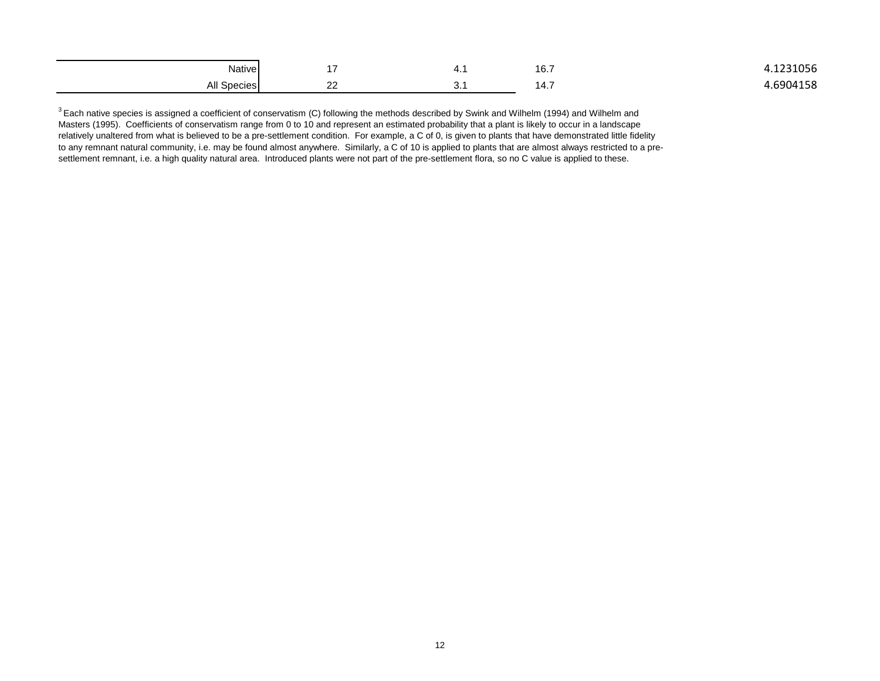| Native                     |               |    | 16.7 | 1221255 |
|----------------------------|---------------|----|------|---------|
| All<br>Spoone<br>JUBULITSI | $\sim$<br>--- | J. | 14.1 | 0.1158  |

<sup>3</sup> Each native species is assigned a coefficient of conservatism (C) following the methods described by Swink and Wilhelm (1994) and Wilhelm and Masters (1995). Coefficients of conservatism range from 0 to 10 and represent an estimated probability that a plant is likely to occur in a landscape relatively unaltered from what is believed to be a pre-settlement condition. For example, a C of 0, is given to plants that have demonstrated little fidelity to any remnant natural community, i.e. may be found almost anywhere. Similarly, a C of 10 is applied to plants that are almost always restricted to a presettlement remnant, i.e. a high quality natural area. Introduced plants were not part of the pre-settlement flora, so no C value is applied to these.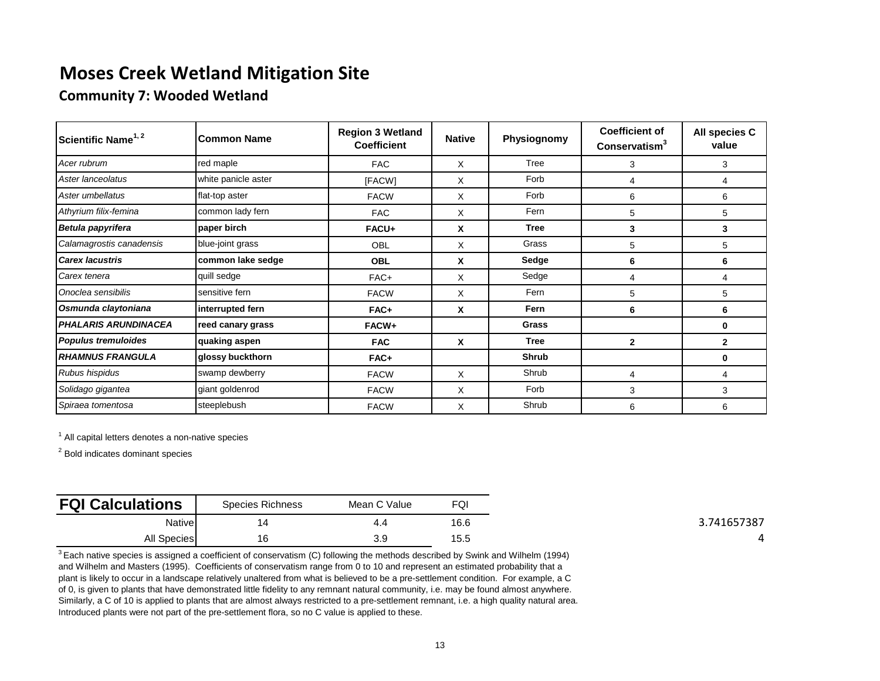#### **Community 7: Wooded Wetland**

| Scientific Name <sup>1, 2</sup> | Common Name         | <b>Region 3 Wetland</b><br><b>Coefficient</b> | <b>Native</b> | Physiognomy  | <b>Coefficient of</b><br>Conservatism <sup>3</sup> | All species C<br>value |
|---------------------------------|---------------------|-----------------------------------------------|---------------|--------------|----------------------------------------------------|------------------------|
| Acer rubrum                     | red maple           | <b>FAC</b>                                    | X             | Tree         | 3                                                  | 3                      |
| Aster lanceolatus               | white panicle aster | [FACW]                                        | X             | Forb         | $\overline{4}$                                     | 4                      |
| Aster umbellatus                | flat-top aster      | <b>FACW</b>                                   | X             | Forb         | 6                                                  | 6                      |
| Athyrium filix-femina           | common lady fern    | <b>FAC</b>                                    | X             | Fern         | 5                                                  | 5                      |
| Betula papyrifera               | paper birch         | FACU+                                         | X             | <b>Tree</b>  | 3                                                  | 3                      |
| Calamagrostis canadensis        | blue-joint grass    | <b>OBL</b>                                    | X             | Grass        | 5                                                  | 5                      |
| <b>Carex lacustris</b>          | common lake sedge   | <b>OBL</b>                                    | X             | Sedge        | 6                                                  | 6                      |
| Carex tenera                    | quill sedge         | FAC+                                          | X             | Sedge        | 4                                                  | 4                      |
| Onoclea sensibilis              | sensitive fern      | <b>FACW</b>                                   | X             | Fern         | 5                                                  | 5                      |
| Osmunda claytoniana             | interrupted fern    | FAC+                                          | X             | Fern         | 6                                                  | 6                      |
| <b>PHALARIS ARUNDINACEA</b>     | reed canary grass   | FACW+                                         |               | Grass        |                                                    | $\bf{0}$               |
| <b>Populus tremuloides</b>      | quaking aspen       | <b>FAC</b>                                    | X             | <b>Tree</b>  | $\mathbf{2}$                                       | $\mathbf{2}$           |
| <b>RHAMNUS FRANGULA</b>         | glossy buckthorn    | FAC+                                          |               | <b>Shrub</b> |                                                    | 0                      |
| Rubus hispidus                  | swamp dewberry      | <b>FACW</b>                                   | X             | Shrub        | 4                                                  | 4                      |
| Solidago gigantea               | giant goldenrod     | <b>FACW</b>                                   | X             | Forb         | 3                                                  | 3                      |
| Spiraea tomentosa               | steeplebush         | <b>FACW</b>                                   | X             | Shrub        | 6                                                  | 6                      |

 $1$  All capital letters denotes a non-native species

<sup>2</sup> Bold indicates dominant species

| <b>FQI Calculations</b> | Species Richness | Mean C Value | FQI  |
|-------------------------|------------------|--------------|------|
| <b>Native</b>           |                  | 4.4          | 16.6 |
| <b>All Species</b>      | 16               | 3.9          | 15.5 |

 $3$  Each native species is assigned a coefficient of conservatism (C) following the methods described by Swink and Wilhelm (1994) and Wilhelm and Masters (1995). Coefficients of conservatism range from 0 to 10 and represent an estimated probability that a plant is likely to occur in a landscape relatively unaltered from what is believed to be a pre-settlement condition. For example, a C of 0, is given to plants that have demonstrated little fidelity to any remnant natural community, i.e. may be found almost anywhere. Similarly, a C of 10 is applied to plants that are almost always restricted to a pre-settlement remnant, i.e. a high quality natural area. Introduced plants were not part of the pre-settlement flora, so no C value is applied to these.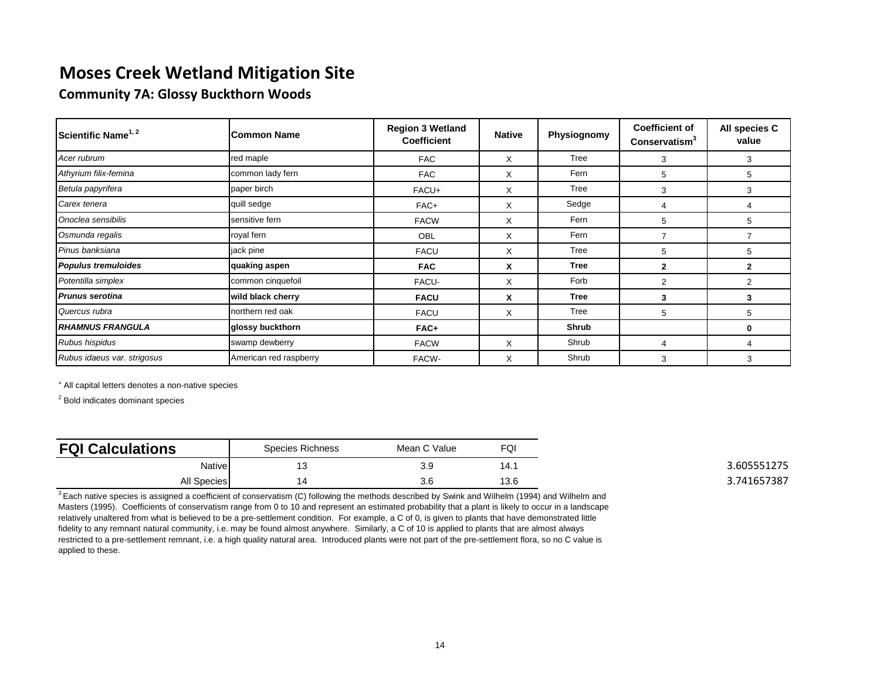**Community 7A: Glossy Buckthorn Woods**

| Scientific Name <sup>1, 2</sup> | <b>Common Name</b>     | <b>Region 3 Wetland</b><br><b>Coefficient</b> | <b>Native</b> | Physiognomy | <b>Coefficient of</b><br>Conservatism <sup>3</sup> | All species C<br>value |
|---------------------------------|------------------------|-----------------------------------------------|---------------|-------------|----------------------------------------------------|------------------------|
| Acer rubrum                     | red maple              | <b>FAC</b>                                    | X             | Tree        | 3                                                  | 3                      |
| Athyrium filix-femina           | common lady fern       | <b>FAC</b>                                    | X             | Fern        | 5                                                  | 5                      |
| Betula papyrifera               | paper birch            | FACU+                                         | X             | Tree        | 3                                                  | 3                      |
| Carex tenera                    | quill sedge            | FAC+                                          | X             | Sedge       | 4                                                  | 4                      |
| Onoclea sensibilis              | sensitive fern         | <b>FACW</b>                                   | X             | Fern        | 5                                                  | 5                      |
| Osmunda regalis                 | royal fern             | OBL                                           | X             | Fern        | 7                                                  |                        |
| Pinus banksiana                 | jack pine              | <b>FACU</b>                                   | X             | Tree        | 5                                                  | 5                      |
| <b>Populus tremuloides</b>      | quaking aspen          | <b>FAC</b>                                    | x             | <b>Tree</b> | $\mathbf{2}$                                       | $\mathbf{2}$           |
| Potentilla simplex              | common cinquefoil      | FACU-                                         | X             | Forb        | $\overline{2}$                                     | 2                      |
| <b>Prunus serotina</b>          | wild black cherry      | <b>FACU</b>                                   | x             | <b>Tree</b> | 3                                                  | 3                      |
| Quercus rubra                   | northern red oak       | <b>FACU</b>                                   | X             | Tree        | 5                                                  | 5                      |
| <b>RHAMNUS FRANGULA</b>         | glossy buckthorn       | FAC+                                          |               | Shrub       |                                                    | 0                      |
| Rubus hispidus                  | swamp dewberry         | <b>FACW</b>                                   | X             | Shrub       | 4                                                  | 4                      |
| Rubus idaeus var. strigosus     | American red raspberry | FACW-                                         | X             | Shrub       | 3                                                  | 3                      |

1 All capital letters denotes a non-native species

<sup>2</sup> Bold indicates dominant species

| <b>FQI Calculations</b> | Species Richness | Mean C Value | FQI  |
|-------------------------|------------------|--------------|------|
| <b>Native</b>           |                  | 3.9          | 14.1 |
| All Species             |                  | 3.6          | 13.6 |

 $3$  Each native species is assigned a coefficient of conservatism (C) following the methods described by Swink and Wilhelm (1994) and Wilhelm and Masters (1995). Coefficients of conservatism range from 0 to 10 and represent an estimated probability that a plant is likely to occur in a landscape relatively unaltered from what is believed to be a pre-settlement condition. For example, a C of 0, is given to plants that have demonstrated little fidelity to any remnant natural community, i.e. may be found almost anywhere. Similarly, a C of 10 is applied to plants that are almost always restricted to a pre-settlement remnant, i.e. a high quality natural area. Introduced plants were not part of the pre-settlement flora, so no C value is applied to these.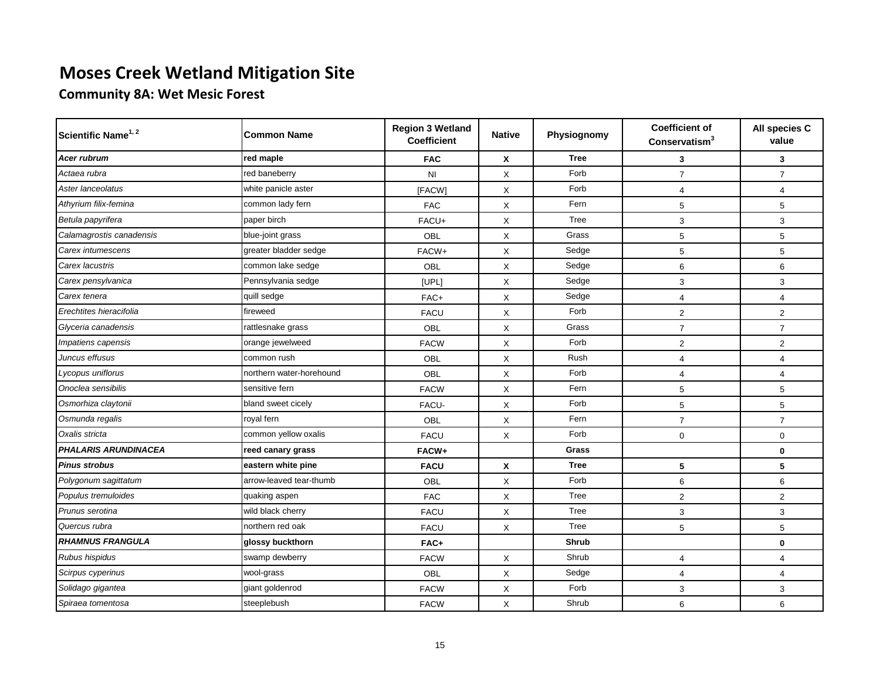**Community 8A: Wet Mesic Forest**

| Scientific Name <sup>1, 2</sup> | <b>Common Name</b>       | <b>Region 3 Wetland</b><br><b>Coefficient</b> | <b>Native</b> | Physiognomy | <b>Coefficient of</b><br>Conservating <sup>3</sup> | All species C<br>value    |
|---------------------------------|--------------------------|-----------------------------------------------|---------------|-------------|----------------------------------------------------|---------------------------|
| Acer rubrum                     | red maple                | <b>FAC</b>                                    | X             | <b>Tree</b> | 3                                                  | 3                         |
| Actaea rubra                    | red baneberry            | N <sub>1</sub>                                | X             | Forb        | $\overline{7}$                                     | $\overline{7}$            |
| Aster lanceolatus               | white panicle aster      | [FACW]                                        | X             | Forb        | $\overline{4}$                                     | $\overline{4}$            |
| Athyrium filix-femina           | common lady fern         | <b>FAC</b>                                    | X             | Fern        | 5                                                  | $\,$ 5 $\,$               |
| Betula papyrifera               | paper birch              | FACU+                                         | X             | Tree        | 3                                                  | $\ensuremath{\mathsf{3}}$ |
| Calamagrostis canadensis        | blue-joint grass         | OBL                                           | X             | Grass       | 5                                                  | 5                         |
| Carex intumescens               | greater bladder sedge    | FACW+                                         | X             | Sedge       | 5                                                  | $\,$ 5 $\,$               |
| Carex lacustris                 | common lake sedge        | OBL                                           | X             | Sedge       | 6                                                  | 6                         |
| Carex pensylvanica              | Pennsylvania sedge       | [UPL]                                         | X             | Sedge       | 3                                                  | 3                         |
| Carex tenera                    | quill sedge              | FAC+                                          | X             | Sedge       | 4                                                  | $\overline{4}$            |
| Erechtites hieracifolia         | fireweed                 | <b>FACU</b>                                   | X             | Forb        | 2                                                  | $\overline{2}$            |
| Glyceria canadensis             | rattlesnake grass        | OBL                                           | X             | Grass       | $\overline{7}$                                     | $\overline{7}$            |
| Impatiens capensis              | orange jewelweed         | <b>FACW</b>                                   | X             | Forb        | $\overline{c}$                                     | $\mathbf 2$               |
| Juncus effusus                  | common rush              | OBL                                           | X             | Rush        | $\overline{4}$                                     | $\overline{4}$            |
| Lycopus uniflorus               | northern water-horehound | OBL                                           | X             | Forb        | $\overline{4}$                                     | $\overline{4}$            |
| Onoclea sensibilis              | sensitive fern           | <b>FACW</b>                                   | X             | Fern        | 5                                                  | $\,$ 5 $\,$               |
| Osmorhiza claytonii             | bland sweet cicely       | FACU-                                         | X             | Forb        | 5                                                  | 5                         |
| Osmunda regalis                 | royal fern               | OBL                                           | X             | Fern        | $\overline{7}$                                     | $\overline{7}$            |
| Oxalis stricta                  | common yellow oxalis     | <b>FACU</b>                                   | X             | Forb        | $\mathbf 0$                                        | $\mathbf 0$               |
| <b>PHALARIS ARUNDINACEA</b>     | reed canary grass        | FACW+                                         |               | Grass       |                                                    | $\mathbf 0$               |
| <b>Pinus strobus</b>            | eastern white pine       | <b>FACU</b>                                   | X             | <b>Tree</b> | 5                                                  | 5                         |
| Polygonum sagittatum            | arrow-leaved tear-thumb  | OBL                                           | X             | Forb        | 6                                                  | 6                         |
| Populus tremuloides             | quaking aspen            | <b>FAC</b>                                    | X             | Tree        | 2                                                  | 2                         |
| Prunus serotina                 | wild black cherry        | <b>FACU</b>                                   | X             | Tree        | 3                                                  | 3                         |
| Quercus rubra                   | northern red oak         | <b>FACU</b>                                   | X             | Tree        | 5                                                  | $\,$ 5 $\,$               |
| <b>RHAMNUS FRANGULA</b>         | glossy buckthorn         | FAC+                                          |               | Shrub       |                                                    | $\mathbf 0$               |
| Rubus hispidus                  | swamp dewberry           | <b>FACW</b>                                   | X             | Shrub       | $\overline{4}$                                     | $\overline{4}$            |
| Scirpus cyperinus               | wool-grass               | OBL                                           | X             | Sedge       | $\overline{4}$                                     | $\overline{4}$            |
| Solidago gigantea               | giant goldenrod          | <b>FACW</b>                                   | X             | Forb        | 3                                                  | 3                         |
| Spiraea tomentosa               | steeplebush              | <b>FACW</b>                                   | X             | Shrub       | 6                                                  | 6                         |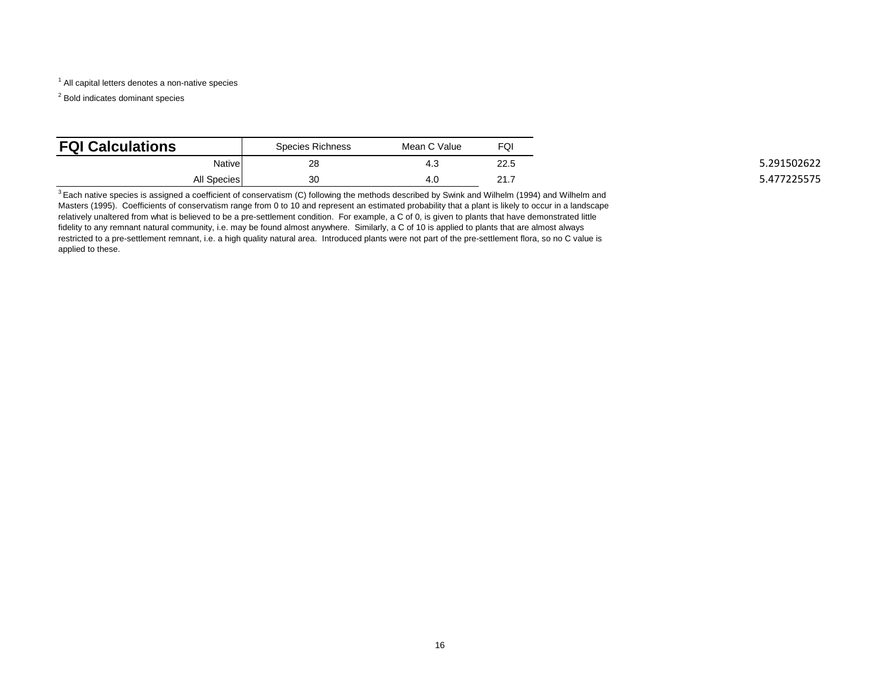<sup>1</sup> All capital letters denotes a non-native species

<sup>2</sup> Bold indicates dominant species

| <b>FQI Calculations</b> | Species Richness | Mean C Value | FQI  |
|-------------------------|------------------|--------------|------|
| Native                  | 28               | ن. 4         | 22.5 |
| All Species             | 30               | 4.0          | 21.1 |

 $3$  Each native species is assigned a coefficient of conservatism (C) following the methods described by Swink and Wilhelm (1994) and Wilhelm and Masters (1995). Coefficients of conservatism range from 0 to 10 and represent an estimated probability that a plant is likely to occur in a landscape relatively unaltered from what is believed to be a pre-settlement condition. For example, a C of 0, is given to plants that have demonstrated little fidelity to any remnant natural community, i.e. may be found almost anywhere. Similarly, a C of 10 is applied to plants that are almost always restricted to a pre-settlement remnant, i.e. a high quality natural area. Introduced plants were not part of the pre-settlement flora, so no C value is applied to these.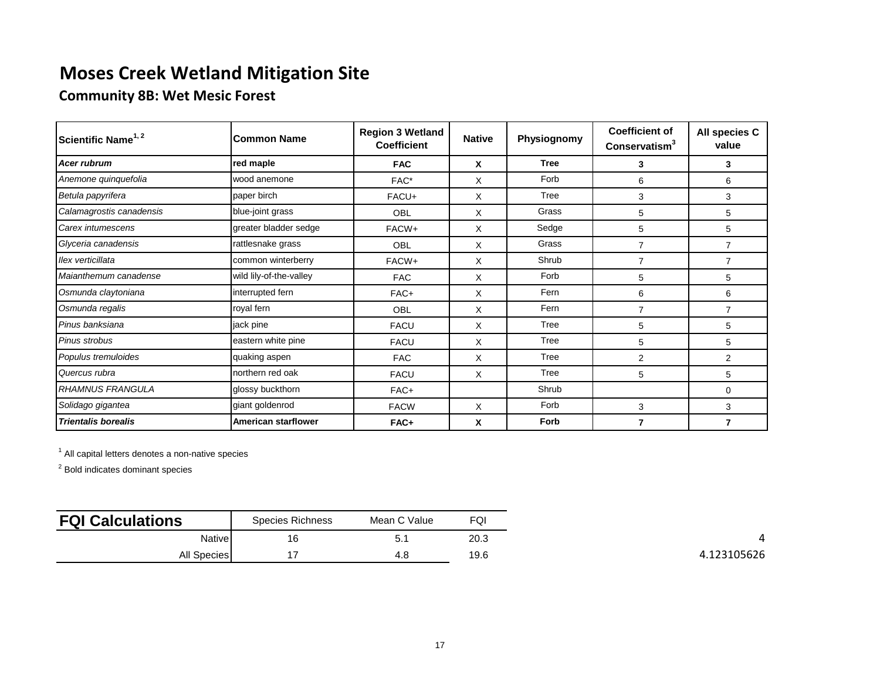### **Community 8B: Wet Mesic Forest**

| Scientific Name <sup>1, 2</sup> | <b>Common Name</b>         | <b>Region 3 Wetland</b><br><b>Coefficient</b> | <b>Native</b> | Physiognomy | <b>Coefficient of</b><br>Conservatism <sup>3</sup> | All species C<br>value |
|---------------------------------|----------------------------|-----------------------------------------------|---------------|-------------|----------------------------------------------------|------------------------|
| Acer rubrum                     | red maple                  | <b>FAC</b>                                    | X             | <b>Tree</b> | 3                                                  | 3                      |
| Anemone quinquefolia            | wood anemone               | FAC*                                          | X             | Forb        | 6                                                  | 6                      |
| Betula papyrifera               | paper birch                | FACU+                                         | X             | Tree        | 3                                                  | 3                      |
| Calamagrostis canadensis        | blue-joint grass           | <b>OBL</b>                                    | X             | Grass       | 5                                                  | 5                      |
| Carex intumescens               | greater bladder sedge      | FACW+                                         | X             | Sedge       | 5                                                  | 5                      |
| Glyceria canadensis             | rattlesnake grass          | OBL                                           | X             | Grass       | 7                                                  | $\overline{7}$         |
| llex verticillata               | common winterberry         | FACW+                                         | X             | Shrub       | $\overline{7}$                                     | $\overline{7}$         |
| Maianthemum canadense           | wild lily-of-the-valley    | <b>FAC</b>                                    | X             | Forb        | 5                                                  | 5                      |
| Osmunda claytoniana             | interrupted fern           | FAC+                                          | X             | Fern        | 6                                                  | 6                      |
| Osmunda regalis                 | royal fern                 | OBL                                           | X             | Fern        | 7                                                  | 7                      |
| Pinus banksiana                 | jack pine                  | <b>FACU</b>                                   | X             | Tree        | 5                                                  | 5                      |
| Pinus strobus                   | eastern white pine         | <b>FACU</b>                                   | X             | Tree        | 5                                                  | 5                      |
| Populus tremuloides             | quaking aspen              | <b>FAC</b>                                    | X             | Tree        | 2                                                  | 2                      |
| Quercus rubra                   | northern red oak           | <b>FACU</b>                                   | X             | Tree        | 5                                                  | 5                      |
| <b>RHAMNUS FRANGULA</b>         | glossy buckthorn           | FAC+                                          |               | Shrub       |                                                    | 0                      |
| Solidago gigantea               | giant goldenrod            | <b>FACW</b>                                   | X             | Forb        | 3                                                  | 3                      |
| <b>Trientalis borealis</b>      | <b>American starflower</b> | FAC+                                          | X             | Forb        | 7                                                  | $\overline{7}$         |

 $<sup>1</sup>$  All capital letters denotes a non-native species</sup>

| <b>FQI Calculations</b> | <b>Species Richness</b> | Mean C Value | FQI  |
|-------------------------|-------------------------|--------------|------|
| Native                  | 16                      | 5.1          | 20.3 |
| All Species             |                         | 4.8          | 19.6 |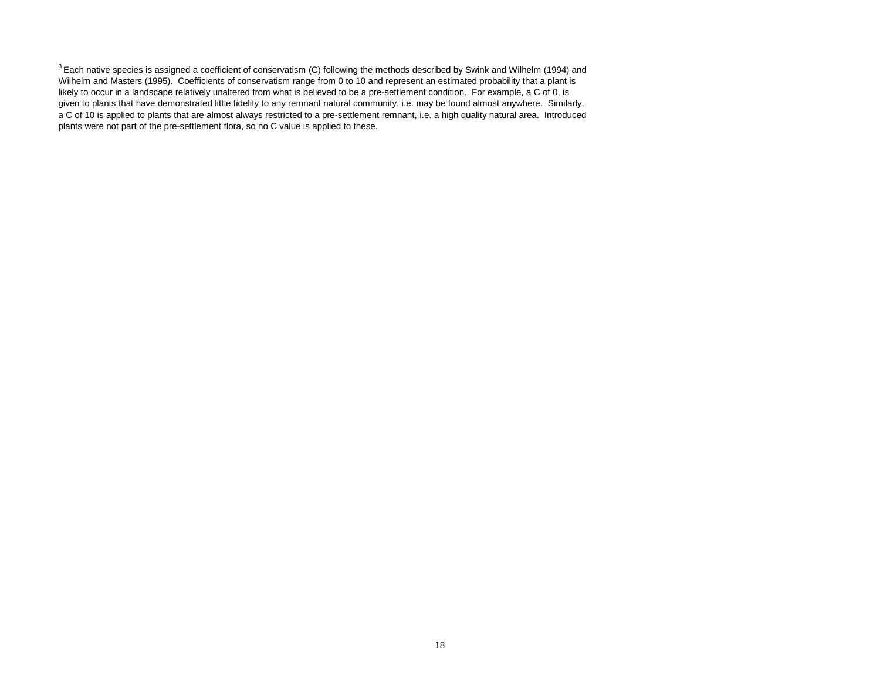$3$  Each native species is assigned a coefficient of conservatism (C) following the methods described by Swink and Wilhelm (1994) and Wilhelm and Masters (1995). Coefficients of conservatism range from 0 to 10 and represent an estimated probability that a plant is likely to occur in a landscape relatively unaltered from what is believed to be a pre-settlement condition. For example, a C of 0, is given to plants that have demonstrated little fidelity to any remnant natural community, i.e. may be found almost anywhere. Similarly, a C of 10 is applied to plants that are almost always restricted to a pre-settlement remnant, i.e. a high quality natural area. Introduced plants were not part of the pre-settlement flora, so no C value is applied to these.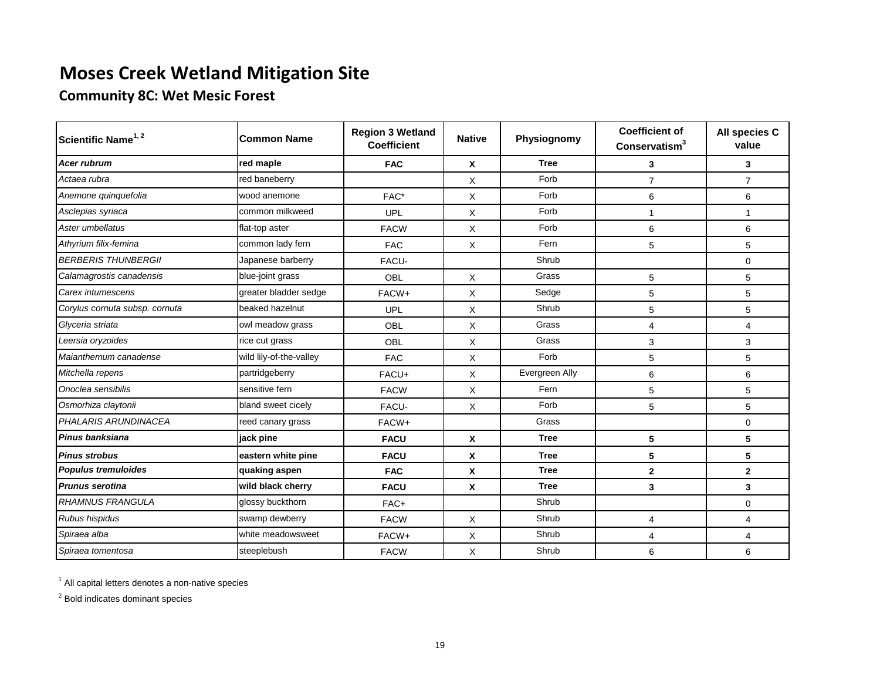### **Community 8C: Wet Mesic Forest**

| Scientific Name <sup>1, 2</sup> | <b>Common Name</b>      | <b>Region 3 Wetland</b><br><b>Coefficient</b> | <b>Native</b> | Physiognomy    | <b>Coefficient of</b><br>Conservatism <sup>3</sup> | All species C<br>value |
|---------------------------------|-------------------------|-----------------------------------------------|---------------|----------------|----------------------------------------------------|------------------------|
| <b>Acer rubrum</b>              | red maple               | <b>FAC</b>                                    | X             | <b>Tree</b>    | 3                                                  | 3                      |
| Actaea rubra                    | red baneberry           |                                               | X             | Forb           | $\overline{7}$                                     | $\overline{7}$         |
| Anemone quinquefolia            | wood anemone            | FAC*                                          | X             | Forb           | 6                                                  | 6                      |
| Asclepias syriaca               | common milkweed         | UPL                                           | X             | Forb           | 1                                                  | 1                      |
| Aster umbellatus                | flat-top aster          | <b>FACW</b>                                   | X             | Forb           | 6                                                  | 6                      |
| Athyrium filix-femina           | common lady fern        | <b>FAC</b>                                    | X             | Fern           | 5                                                  | 5                      |
| <b>BERBERIS THUNBERGII</b>      | Japanese barberry       | FACU-                                         |               | Shrub          |                                                    | $\mathbf 0$            |
| Calamagrostis canadensis        | blue-joint grass        | OBL                                           | X             | Grass          | 5                                                  | 5                      |
| Carex intumescens               | greater bladder sedge   | FACW+                                         | X             | Sedge          | 5                                                  | 5                      |
| Corylus cornuta subsp. cornuta  | beaked hazelnut         | UPL                                           | X             | Shrub          | 5                                                  | 5                      |
| Glyceria striata                | owl meadow grass        | OBL                                           | X             | Grass          | $\overline{4}$                                     | 4                      |
| Leersia oryzoides               | rice cut grass          | OBL                                           | X             | Grass          | 3                                                  | 3                      |
| Maianthemum canadense           | wild lily-of-the-valley | <b>FAC</b>                                    | X             | Forb           | 5                                                  | 5                      |
| Mitchella repens                | partridgeberry          | FACU+                                         | X             | Evergreen Ally | 6                                                  | 6                      |
| Onoclea sensibilis              | sensitive fern          | <b>FACW</b>                                   | X             | Fern           | 5                                                  | 5                      |
| Osmorhiza claytonii             | bland sweet cicely      | FACU-                                         | Χ             | Forb           | 5                                                  | 5                      |
| PHALARIS ARUNDINACEA            | reed canary grass       | FACW+                                         |               | Grass          |                                                    | 0                      |
| Pinus banksiana                 | jack pine               | <b>FACU</b>                                   | X             | <b>Tree</b>    | 5                                                  | 5                      |
| <b>Pinus strobus</b>            | eastern white pine      | <b>FACU</b>                                   | X             | <b>Tree</b>    | 5                                                  | 5                      |
| Populus tremuloides             | quaking aspen           | <b>FAC</b>                                    | X             | <b>Tree</b>    | $\mathbf 2$                                        | $\mathbf{2}$           |
| <b>Prunus serotina</b>          | wild black cherry       | <b>FACU</b>                                   | X             | <b>Tree</b>    | 3                                                  | 3                      |
| <b>RHAMNUS FRANGULA</b>         | glossy buckthorn        | FAC+                                          |               | Shrub          |                                                    | $\pmb{0}$              |
| Rubus hispidus                  | swamp dewberry          | <b>FACW</b>                                   | X             | Shrub          | $\overline{4}$                                     | 4                      |
| Spiraea alba                    | white meadowsweet       | FACW+                                         | X             | Shrub          | 4                                                  | 4                      |
| Spiraea tomentosa               | steeplebush             | <b>FACW</b>                                   | X             | Shrub          | 6                                                  | 6                      |

 $<sup>1</sup>$  All capital letters denotes a non-native species</sup>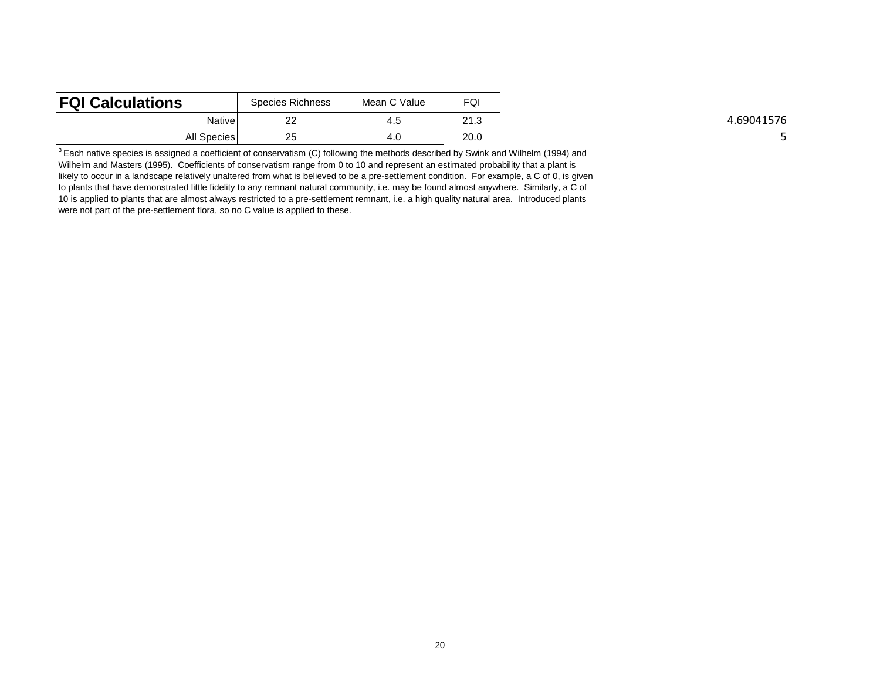| <b>FQI Calculations</b> | Species Richness | Mean C Value | FQ <sub>I</sub> |
|-------------------------|------------------|--------------|-----------------|
| Nativel                 | ົດດ<br><u>__</u> | 4.5          | 21.3            |
| All Species             | 25               | 4.C          | 20.0            |

 $3$  Each native species is assigned a coefficient of conservatism (C) following the methods described by Swink and Wilhelm (1994) and Wilhelm and Masters (1995). Coefficients of conservatism range from 0 to 10 and represent an estimated probability that a plant is likely to occur in a landscape relatively unaltered from what is believed to be a pre-settlement condition. For example, a C of 0, is given to plants that have demonstrated little fidelity to any remnant natural community, i.e. may be found almost anywhere. Similarly, a C of 10 is applied to plants that are almost always restricted to a pre-settlement remnant, i.e. a high quality natural area. Introduced plants were not part of the pre-settlement flora, so no C value is applied to these.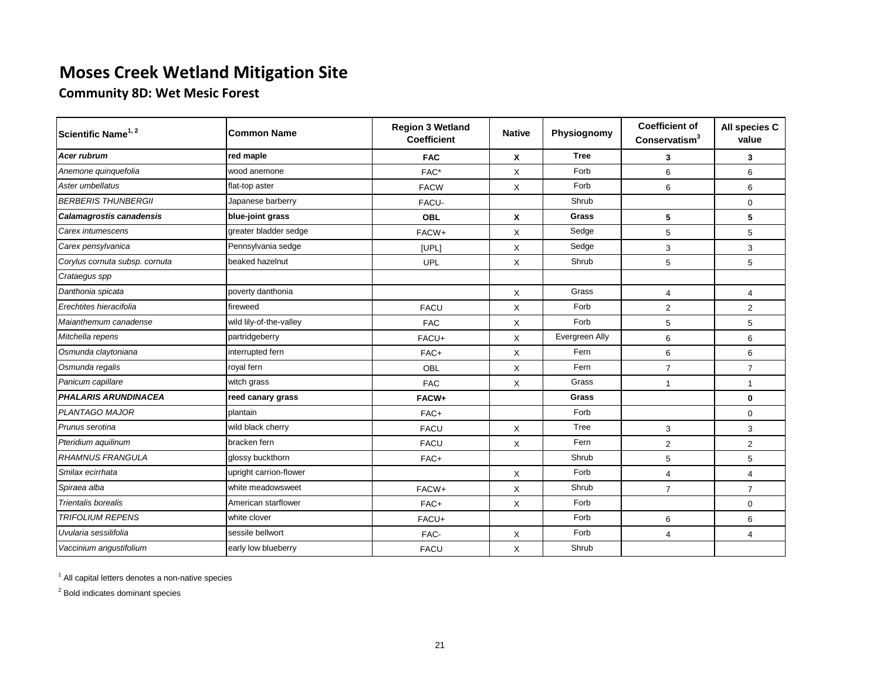**Community 8D: Wet Mesic Forest**

| Scientific Name <sup>1, 2</sup> | <b>Common Name</b>      | <b>Region 3 Wetland</b><br><b>Coefficient</b> | <b>Native</b> | Physiognomy    | <b>Coefficient of</b><br>Conservatism <sup>3</sup> | All species C<br>value |
|---------------------------------|-------------------------|-----------------------------------------------|---------------|----------------|----------------------------------------------------|------------------------|
| <b>Acer rubrum</b>              | red maple               | <b>FAC</b>                                    | X             | <b>Tree</b>    | 3                                                  | 3                      |
| Anemone quinquefolia            | wood anemone            | FAC*                                          | X             | Forb           | 6                                                  | 6                      |
| Aster umbellatus                | flat-top aster          | <b>FACW</b>                                   | X             | Forb           | 6                                                  | 6                      |
| <b>BERBERIS THUNBERGII</b>      | Japanese barberry       | FACU-                                         |               | Shrub          |                                                    | 0                      |
| <b>Calamagrostis canadensis</b> | blue-joint grass        | <b>OBL</b>                                    | X             | Grass          | 5                                                  | 5                      |
| Carex intumescens               | greater bladder sedge   | FACW+                                         | X             | Sedge          | 5                                                  | 5                      |
| Carex pensylvanica              | Pennsylvania sedge      | [UPL]                                         | X             | Sedge          | 3                                                  | 3                      |
| Corylus cornuta subsp. cornuta  | beaked hazelnut         | UPL                                           | X             | Shrub          | 5                                                  | 5                      |
| Crataegus spp                   |                         |                                               |               |                |                                                    |                        |
| Danthonia spicata               | poverty danthonia       |                                               | X             | Grass          | $\overline{4}$                                     | $\overline{4}$         |
| Erechtites hieracifolia         | fireweed                | <b>FACU</b>                                   | X             | Forb           | $\overline{2}$                                     | $\overline{2}$         |
| Maianthemum canadense           | wild lily-of-the-valley | <b>FAC</b>                                    | X             | Forb           | 5                                                  | 5                      |
| Mitchella repens                | partridgeberry          | FACU+                                         | X             | Evergreen Ally | 6                                                  | 6                      |
| Osmunda claytoniana             | interrupted fern        | FAC+                                          | X             | Fern           | 6                                                  | 6                      |
| Osmunda regalis                 | royal fern              | OBL                                           | X             | Fern           | $\overline{7}$                                     | $\overline{7}$         |
| Panicum capillare               | witch grass             | <b>FAC</b>                                    | X             | Grass          | $\overline{1}$                                     | $\mathbf{1}$           |
| <b>PHALARIS ARUNDINACEA</b>     | reed canary grass       | FACW+                                         |               | Grass          |                                                    | $\mathbf 0$            |
| PLANTAGO MAJOR                  | plantain                | FAC+                                          |               | Forb           |                                                    | $\mathbf 0$            |
| Prunus serotina                 | wild black cherry       | <b>FACU</b>                                   | X             | Tree           | 3                                                  | 3                      |
| Pteridium aquilinum             | bracken fern            | <b>FACU</b>                                   | X             | Fern           | $\overline{2}$                                     | $\overline{2}$         |
| <b>RHAMNUS FRANGULA</b>         | glossy buckthorn        | FAC+                                          |               | Shrub          | 5                                                  | 5                      |
| Smilax ecirrhata                | upright carrion-flower  |                                               | X             | Forb           | $\overline{4}$                                     | $\overline{4}$         |
| Spiraea alba                    | white meadowsweet       | FACW+                                         | X             | Shrub          | $\overline{7}$                                     | $\overline{7}$         |
| <b>Trientalis borealis</b>      | American starflower     | FAC+                                          | X             | Forb           |                                                    | $\boldsymbol{0}$       |
| <b>TRIFOLIUM REPENS</b>         | white clover            | FACU+                                         |               | Forb           | 6                                                  | 6                      |
| Uvularia sessilifolia           | sessile bellwort        | FAC-                                          | X             | Forb           | $\overline{4}$                                     | $\overline{4}$         |
| Vaccinium angustifolium         | early low blueberry     | <b>FACU</b>                                   | X             | Shrub          |                                                    |                        |

<sup>1</sup> All capital letters denotes a non-native species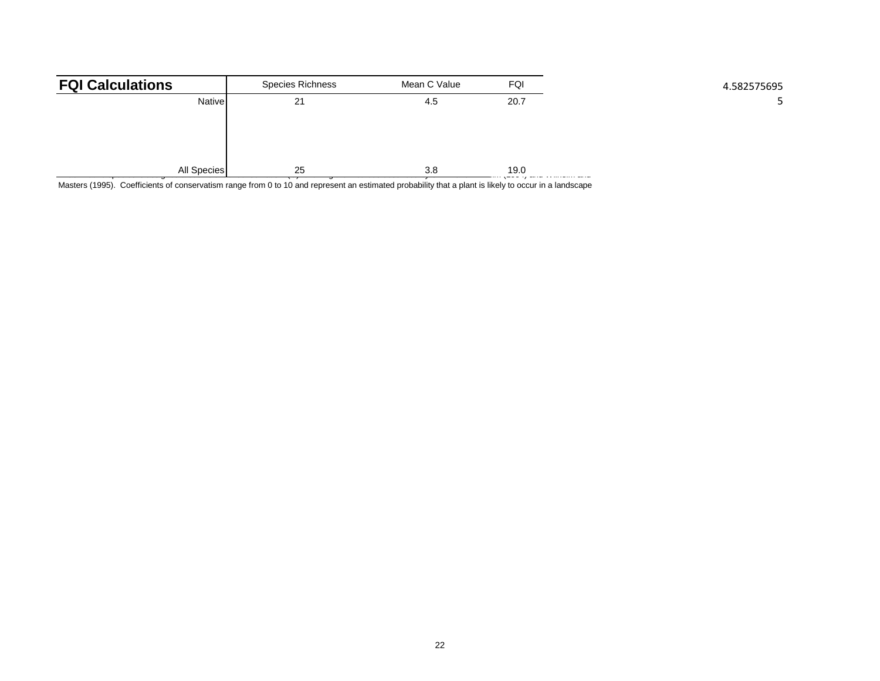| <b>FQI Calculations</b> | Species Richness | Mean C Value | FQI                           | 4.582575695 |
|-------------------------|------------------|--------------|-------------------------------|-------------|
| <b>Native</b>           | 21               | 4.5          | 20.7                          |             |
|                         |                  |              |                               |             |
|                         |                  |              |                               |             |
|                         |                  |              |                               |             |
| All Species             | 25               | 3.8          | 19.0<br>$\cdot$ - - $\cdot$ , |             |

Masters (1995). Coefficients of conservatism range from 0 to 10 and represent an estimated probability that a plant is likely to occur in a landscape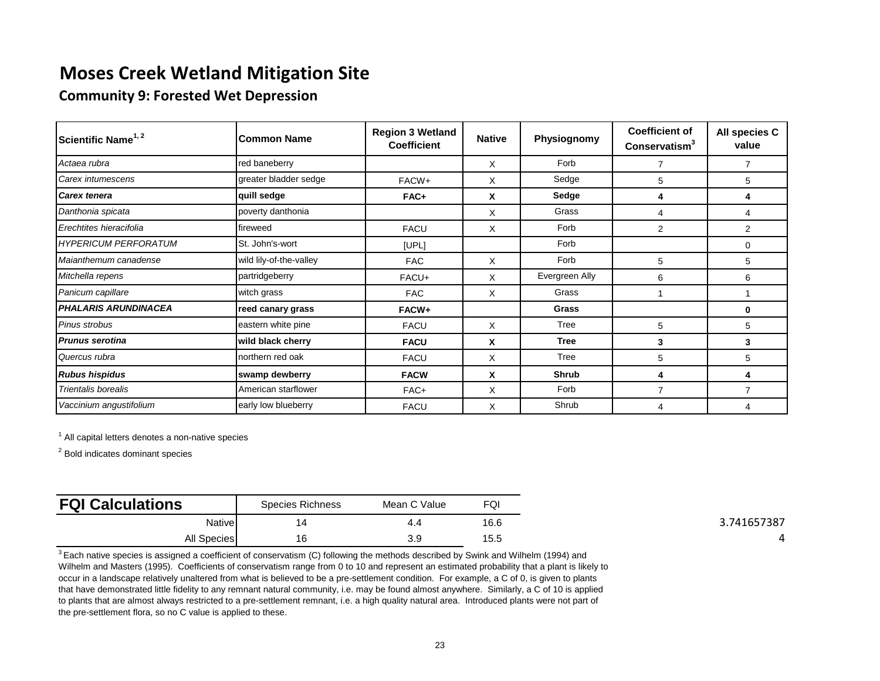**Community 9: Forested Wet Depression**

| Scientific Name <sup>1, 2</sup> | <b>Common Name</b>      | <b>Region 3 Wetland</b><br><b>Coefficient</b> | <b>Native</b> | Physiognomy    | <b>Coefficient of</b><br>Conservatism <sup>3</sup> | All species C<br>value |
|---------------------------------|-------------------------|-----------------------------------------------|---------------|----------------|----------------------------------------------------|------------------------|
| Actaea rubra                    | red baneberry           |                                               | X             | Forb           | 7                                                  | 7                      |
| Carex intumescens               | greater bladder sedge   | FACW+                                         | X             | Sedge          | 5                                                  | 5                      |
| Carex tenera                    | quill sedge             | FAC+                                          | X             | Sedge          | 4                                                  | 4                      |
| Danthonia spicata               | poverty danthonia       |                                               | X             | Grass          | 4                                                  | 4                      |
| Erechtites hieracifolia         | fireweed                | <b>FACU</b>                                   | X             | Forb           | 2                                                  | 2                      |
| <b>HYPERICUM PERFORATUM</b>     | St. John's-wort         | [UPL]                                         |               | Forb           |                                                    | 0                      |
| Maianthemum canadense           | wild lily-of-the-valley | <b>FAC</b>                                    | X             | Forb           | 5                                                  | 5                      |
| Mitchella repens                | partridgeberry          | FACU+                                         | X             | Evergreen Ally | 6                                                  | 6                      |
| Panicum capillare               | witch grass             | <b>FAC</b>                                    | X             | Grass          |                                                    |                        |
| <b>PHALARIS ARUNDINACEA</b>     | reed canary grass       | FACW+                                         |               | Grass          |                                                    | 0                      |
| Pinus strobus                   | eastern white pine      | <b>FACU</b>                                   | X             | Tree           | 5                                                  | 5                      |
| <b>Prunus serotina</b>          | wild black cherry       | <b>FACU</b>                                   | X             | <b>Tree</b>    | 3                                                  | 3                      |
| Quercus rubra                   | northern red oak        | <b>FACU</b>                                   | X             | Tree           | 5                                                  | 5                      |
| <b>Rubus hispidus</b>           | swamp dewberry          | <b>FACW</b>                                   | X             | <b>Shrub</b>   | 4                                                  | 4                      |
| Trientalis borealis             | American starflower     | FAC+                                          | X             | Forb           | $\overline{7}$                                     | $\overline{7}$         |
| Vaccinium angustifolium         | early low blueberry     | <b>FACU</b>                                   | X             | Shrub          | 4                                                  | 4                      |

 $1$  All capital letters denotes a non-native species

<sup>2</sup> Bold indicates dominant species

| <b>FQI Calculations</b> | Species Richness | Mean C Value | FQI  |
|-------------------------|------------------|--------------|------|
| Nativel                 | 14               | 4.4          | 16.6 |
| <b>All Species</b>      | 16               | R Q<br>◡.◡   | 15.5 |

 $3$  Each native species is assigned a coefficient of conservatism (C) following the methods described by Swink and Wilhelm (1994) and Wilhelm and Masters (1995). Coefficients of conservatism range from 0 to 10 and represent an estimated probability that a plant is likely to occur in a landscape relatively unaltered from what is believed to be a pre-settlement condition. For example, a C of 0, is given to plants that have demonstrated little fidelity to any remnant natural community, i.e. may be found almost anywhere. Similarly, a C of 10 is applied to plants that are almost always restricted to a pre-settlement remnant, i.e. a high quality natural area. Introduced plants were not part of the pre-settlement flora, so no C value is applied to these.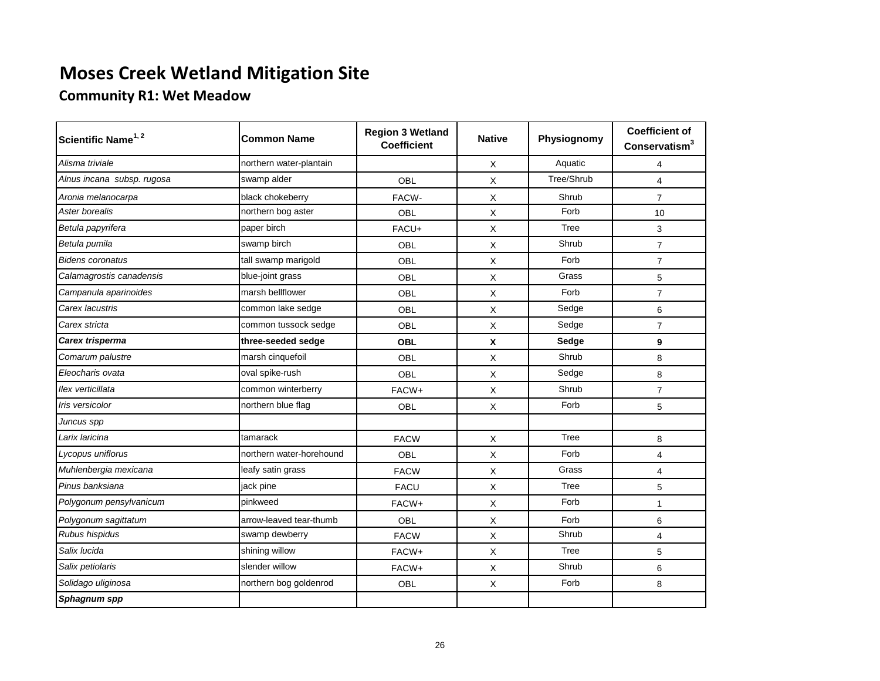## **Community R1: Wet Meadow**

| Scientific Name <sup>1, 2</sup> | <b>Common Name</b>       | <b>Region 3 Wetland</b><br><b>Coefficient</b> | <b>Native</b>             | Physiognomy | <b>Coefficient of</b><br>Conservatism <sup>3</sup> |
|---------------------------------|--------------------------|-----------------------------------------------|---------------------------|-------------|----------------------------------------------------|
| Alisma triviale                 | northern water-plantain  |                                               | $\times$                  | Aquatic     | $\overline{4}$                                     |
| Alnus incana subsp. rugosa      | swamp alder              | OBL                                           | $\boldsymbol{\mathsf{X}}$ | Tree/Shrub  | $\overline{4}$                                     |
| Aronia melanocarpa              | black chokeberry         | FACW-                                         | $\times$                  | Shrub       | $\overline{7}$                                     |
| Aster borealis                  | northern bog aster       | OBL                                           | X                         | Forb        | 10                                                 |
| Betula papyrifera               | paper birch              | FACU+                                         | $\times$                  | Tree        | 3                                                  |
| Betula pumila                   | swamp birch              | OBL                                           | $\times$                  | Shrub       | $\overline{7}$                                     |
| <b>Bidens coronatus</b>         | tall swamp marigold      | OBL                                           | X                         | Forb        | $\overline{7}$                                     |
| Calamagrostis canadensis        | blue-joint grass         | OBL                                           | X                         | Grass       | 5                                                  |
| Campanula aparinoides           | marsh bellflower         | OBL                                           | X                         | Forb        | $\overline{7}$                                     |
| Carex lacustris                 | common lake sedge        | OBL                                           | X                         | Sedge       | 6                                                  |
| Carex stricta                   | common tussock sedge     | <b>OBL</b>                                    | X                         | Sedge       | $\overline{7}$                                     |
| Carex trisperma                 | three-seeded sedge       | <b>OBL</b>                                    | $\pmb{\chi}$              | Sedge       | 9                                                  |
| Comarum palustre                | marsh cinquefoil         | OBL                                           | X                         | Shrub       | 8                                                  |
| Eleocharis ovata                | oval spike-rush          | OBL                                           | X                         | Sedge       | 8                                                  |
| llex verticillata               | common winterberry       | FACW+                                         | X                         | Shrub       | $\overline{7}$                                     |
| Iris versicolor                 | northern blue flag       | OBL                                           | X                         | Forb        | 5                                                  |
| Juncus spp                      |                          |                                               |                           |             |                                                    |
| Larix Iaricina                  | tamarack                 | <b>FACW</b>                                   | X                         | Tree        | 8                                                  |
| Lycopus uniflorus               | northern water-horehound | OBL                                           | X                         | Forb        | $\overline{4}$                                     |
| Muhlenbergia mexicana           | leafy satin grass        | <b>FACW</b>                                   | X                         | Grass       | $\overline{4}$                                     |
| Pinus banksiana                 | jack pine                | <b>FACU</b>                                   | X                         | Tree        | 5                                                  |
| Polygonum pensylvanicum         | pinkweed                 | FACW+                                         | X                         | Forb        | $\mathbf{1}$                                       |
| Polygonum sagittatum            | arrow-leaved tear-thumb  | OBL                                           | X                         | Forb        | 6                                                  |
| Rubus hispidus                  | swamp dewberry           | <b>FACW</b>                                   | X                         | Shrub       | $\overline{4}$                                     |
| Salix lucida                    | shining willow           | FACW+                                         | X                         | Tree        | 5                                                  |
| Salix petiolaris                | slender willow           | FACW+                                         | X                         | Shrub       | 6                                                  |
| Solidago uliginosa              | northern bog goldenrod   | OBL                                           | X                         | Forb        | 8                                                  |
| Sphagnum spp                    |                          |                                               |                           |             |                                                    |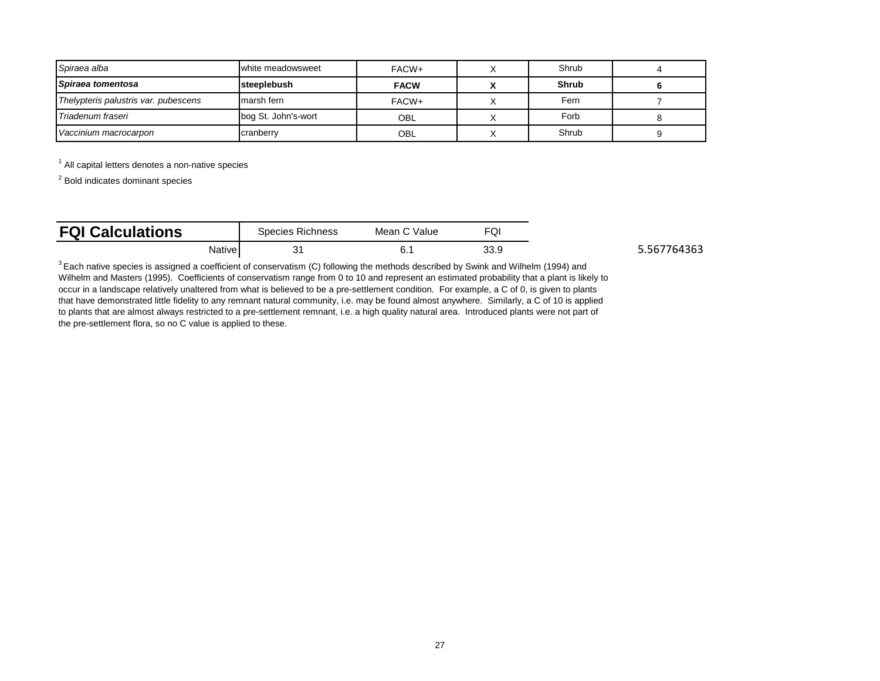| Spiraea alba                         | white meadowsweet   | FACW+       | Shrub |  |
|--------------------------------------|---------------------|-------------|-------|--|
| Spiraea tomentosa                    | steeplebush         | <b>FACW</b> | Shrub |  |
| Thelypteris palustris var. pubescens | marsh fern          | FACW+       | Fern  |  |
| Triadenum fraseri                    | bog St. John's-wort | <b>OBL</b>  | Forb  |  |
| Vaccinium macrocarpon                | cranberry           | OBL         | Shrub |  |

 $1$  All capital letters denotes a non-native species

<sup>2</sup> Bold indicates dominant species

| <b>FQI Calculations</b> | Species Richness |  | Mean C Value | ی ک  |
|-------------------------|------------------|--|--------------|------|
|                         | Native           |  |              | 33.9 |

5.567764363

 $3$  Each native species is assigned a coefficient of conservatism (C) following the methods described by Swink and Wilhelm (1994) and Wilhelm and Masters (1995). Coefficients of conservatism range from 0 to 10 and represent an estimated probability that a plant is likely to occur in a landscape relatively unaltered from what is believed to be a pre-settlement condition. For example, a C of 0, is given to plants that have demonstrated little fidelity to any remnant natural community, i.e. may be found almost anywhere. Similarly, a C of 10 is applied to plants that are almost always restricted to a pre-settlement remnant, i.e. a high quality natural area. Introduced plants were not part of the pre-settlement flora, so no C value is applied to these.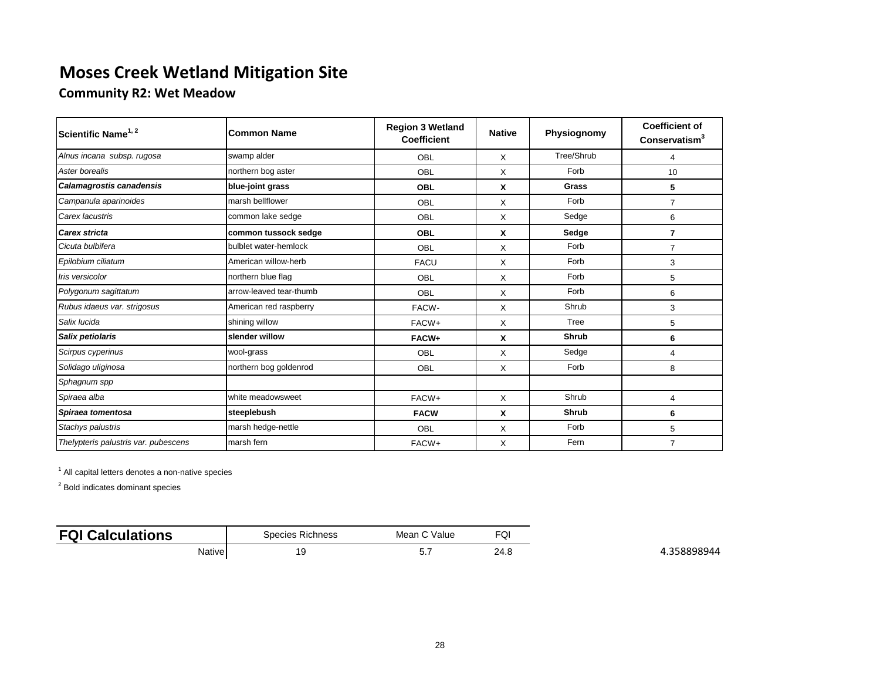**Community R2: Wet Meadow**

| Scientific Name <sup>1, 2</sup>      | <b>Common Name</b>      | <b>Region 3 Wetland</b><br><b>Coefficient</b> | <b>Native</b> | Physiognomy  | <b>Coefficient of</b><br>Conservatism <sup>3</sup> |
|--------------------------------------|-------------------------|-----------------------------------------------|---------------|--------------|----------------------------------------------------|
| Alnus incana subsp. rugosa           | swamp alder             | OBL                                           | X             | Tree/Shrub   | 4                                                  |
| Aster borealis                       | northern bog aster      | OBL                                           | X             | Forb         | 10                                                 |
| Calamagrostis canadensis             | blue-joint grass        | OBL                                           | X             | <b>Grass</b> | 5                                                  |
| Campanula aparinoides                | marsh bellflower        | OBL                                           | X             | Forb         | $\overline{7}$                                     |
| Carex lacustris                      | common lake sedge       | OBL                                           | X             | Sedge        | 6                                                  |
| Carex stricta                        | common tussock sedge    | <b>OBL</b>                                    | X             | Sedge        | $\overline{7}$                                     |
| Cicuta bulbifera                     | bulblet water-hemlock   | OBL                                           | X             | Forb         | $\overline{7}$                                     |
| Epilobium ciliatum                   | American willow-herb    | <b>FACU</b>                                   | X             | Forb         | 3                                                  |
| Iris versicolor                      | northern blue flag      | <b>OBL</b>                                    | Х             | Forb         | 5                                                  |
| Polygonum sagittatum                 | arrow-leaved tear-thumb | <b>OBL</b>                                    | X             | Forb         | 6                                                  |
| Rubus idaeus var. strigosus          | American red raspberry  | FACW-                                         | X             | Shrub        | 3                                                  |
| Salix lucida                         | shining willow          | FACW+                                         | X             | Tree         | 5                                                  |
| Salix petiolaris                     | slender willow          | FACW+                                         | X             | <b>Shrub</b> | 6                                                  |
| Scirpus cyperinus                    | wool-grass              | OBL                                           | X             | Sedge        | 4                                                  |
| Solidago uliginosa                   | northern bog goldenrod  | OBL                                           | X             | Forb         | 8                                                  |
| Sphagnum spp                         |                         |                                               |               |              |                                                    |
| Spiraea alba                         | white meadowsweet       | FACW+                                         | X             | Shrub        | 4                                                  |
| Spiraea tomentosa                    | steeplebush             | <b>FACW</b>                                   | X             | <b>Shrub</b> | 6                                                  |
| Stachys palustris                    | marsh hedge-nettle      | <b>OBL</b>                                    | X             | Forb         | 5                                                  |
| Thelypteris palustris var. pubescens | marsh fern              | FACW+                                         | X             | Fern         | $\overline{7}$                                     |

<sup>1</sup> All capital letters denotes a non-native species

| <b>FQI</b><br><b>alculations</b><br>.av |        | Species Richness<br>. | ` Value<br>Mean<br>. | $\overline{C}$<br>ו שי |
|-----------------------------------------|--------|-----------------------|----------------------|------------------------|
|                                         | Native | 19                    | ت                    | ົາ<br>Z4.0             |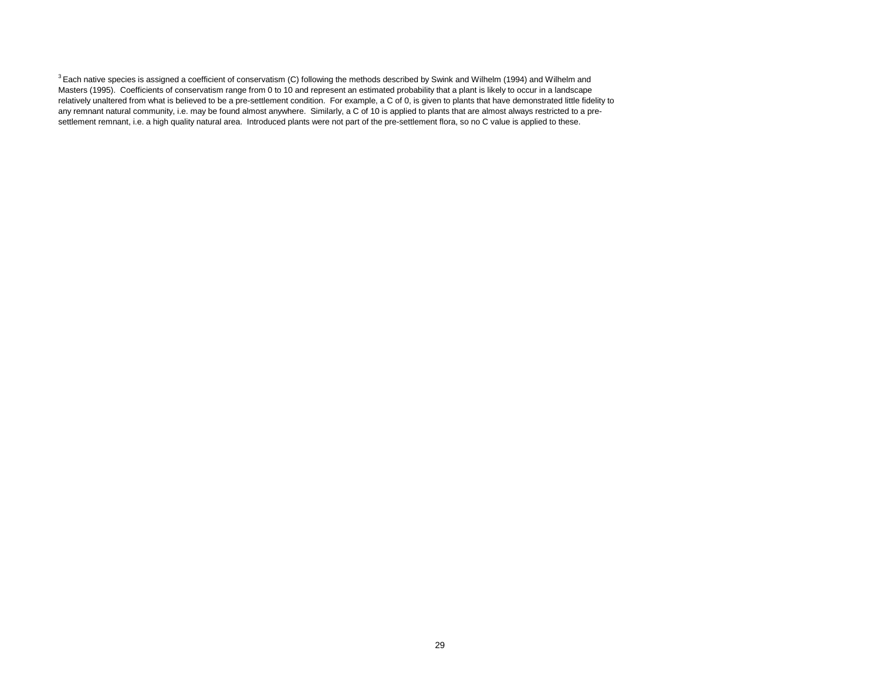$3$  Each native species is assigned a coefficient of conservatism (C) following the methods described by Swink and Wilhelm (1994) and Wilhelm and Masters (1995). Coefficients of conservatism range from 0 to 10 and represent an estimated probability that a plant is likely to occur in a landscape relatively unaltered from what is believed to be a pre-settlement condition. For example, a C of 0, is given to plants that have demonstrated little fidelity to any remnant natural community, i.e. may be found almost anywhere. Similarly, a C of 10 is applied to plants that are almost always restricted to a presettlement remnant, i.e. a high quality natural area. Introduced plants were not part of the pre-settlement flora, so no C value is applied to these.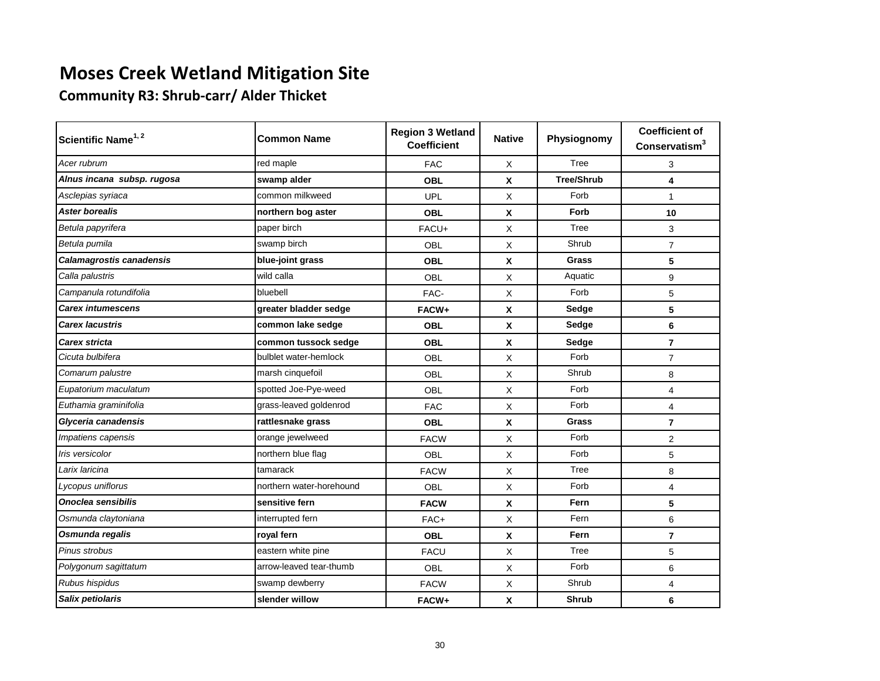**Community R3: Shrub-carr/ Alder Thicket**

| Scientific Name <sup>1, 2</sup> | <b>Common Name</b>       | <b>Region 3 Wetland</b><br><b>Coefficient</b> | <b>Native</b> | Physiognomy       | <b>Coefficient of</b><br>Conservatism <sup>3</sup> |
|---------------------------------|--------------------------|-----------------------------------------------|---------------|-------------------|----------------------------------------------------|
| Acer rubrum                     | red maple                | <b>FAC</b>                                    | X             | Tree              | 3                                                  |
| Alnus incana subsp. rugosa      | swamp alder              | <b>OBL</b>                                    | $\mathbf x$   | <b>Tree/Shrub</b> | 4                                                  |
| Asclepias syriaca               | common milkweed          | <b>UPL</b>                                    | X             | Forb              | $\mathbf{1}$                                       |
| <b>Aster borealis</b>           | northern bog aster       | <b>OBL</b>                                    | X             | Forb              | 10                                                 |
| Betula papyrifera               | paper birch              | FACU+                                         | X             | Tree              | 3                                                  |
| Betula pumila                   | swamp birch              | <b>OBL</b>                                    | X             | Shrub             | $\overline{7}$                                     |
| <b>Calamagrostis canadensis</b> | blue-joint grass         | <b>OBL</b>                                    | X             | <b>Grass</b>      | 5                                                  |
| Calla palustris                 | wild calla               | <b>OBL</b>                                    | X             | Aquatic           | 9                                                  |
| Campanula rotundifolia          | bluebell                 | FAC-                                          | X             | Forb              | 5                                                  |
| <b>Carex intumescens</b>        | greater bladder sedge    | FACW+                                         | X             | Sedge             | 5                                                  |
| <b>Carex lacustris</b>          | common lake sedge        | <b>OBL</b>                                    | X             | Sedge             | 6                                                  |
| <b>Carex stricta</b>            | common tussock sedge     | <b>OBL</b>                                    | X             | Sedge             | $\overline{7}$                                     |
| Cicuta bulbifera                | bulblet water-hemlock    | OBL                                           | X             | Forb              | $\overline{7}$                                     |
| Comarum palustre                | marsh cinquefoil         | OBL                                           | X             | Shrub             | 8                                                  |
| Eupatorium maculatum            | spotted Joe-Pye-weed     | OBL                                           | X             | Forb              | 4                                                  |
| Euthamia graminifolia           | grass-leaved goldenrod   | <b>FAC</b>                                    | X             | Forb              | $\overline{4}$                                     |
| Glyceria canadensis             | rattlesnake grass        | <b>OBL</b>                                    | X             | Grass             | $\overline{7}$                                     |
| Impatiens capensis              | orange jewelweed         | <b>FACW</b>                                   | X             | Forb              | 2                                                  |
| Iris versicolor                 | northern blue flag       | <b>OBL</b>                                    | X             | Forb              | 5                                                  |
| Larix laricina                  | tamarack                 | <b>FACW</b>                                   | X             | Tree              | 8                                                  |
| Lycopus uniflorus               | northern water-horehound | OBL                                           | X             | Forb              | 4                                                  |
| Onoclea sensibilis              | sensitive fern           | <b>FACW</b>                                   | X             | Fern              | 5                                                  |
| Osmunda claytoniana             | interrupted fern         | FAC+                                          | Χ             | Fern              | 6                                                  |
| Osmunda regalis                 | royal fern               | <b>OBL</b>                                    | $\mathbf x$   | Fern              | $\overline{7}$                                     |
| Pinus strobus                   | eastern white pine       | <b>FACU</b>                                   | X             | Tree              | 5                                                  |
| Polygonum sagittatum            | arrow-leaved tear-thumb  | <b>OBL</b>                                    | X             | Forb              | 6                                                  |
| Rubus hispidus                  | swamp dewberry           | <b>FACW</b>                                   | Χ             | Shrub             | 4                                                  |
| Salix petiolaris                | slender willow           | FACW+                                         | X             | <b>Shrub</b>      | 6                                                  |